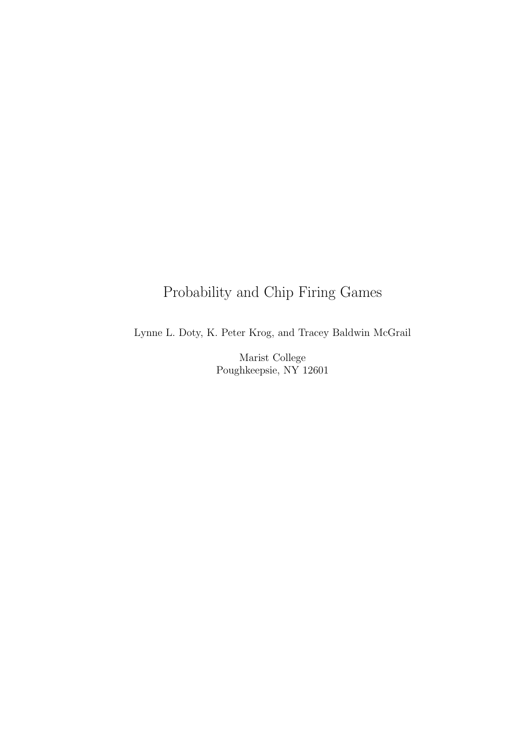# Probability and Chip Firing Games

Lynne L. Doty, K. Peter Krog, and Tracey Baldwin McGrail

Marist College Poughkeepsie, NY 12601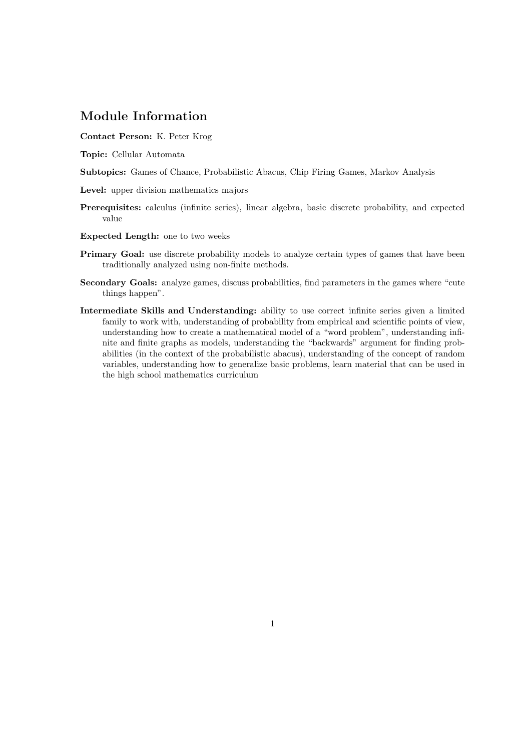### Module Information

Contact Person: K. Peter Krog

- Topic: Cellular Automata
- Subtopics: Games of Chance, Probabilistic Abacus, Chip Firing Games, Markov Analysis
- Level: upper division mathematics majors
- Prerequisites: calculus (infinite series), linear algebra, basic discrete probability, and expected value
- Expected Length: one to two weeks
- Primary Goal: use discrete probability models to analyze certain types of games that have been traditionally analyzed using non-finite methods.
- Secondary Goals: analyze games, discuss probabilities, find parameters in the games where "cute things happen".
- Intermediate Skills and Understanding: ability to use correct infinite series given a limited family to work with, understanding of probability from empirical and scientific points of view, understanding how to create a mathematical model of a "word problem", understanding infinite and finite graphs as models, understanding the "backwards" argument for finding probabilities (in the context of the probabilistic abacus), understanding of the concept of random variables, understanding how to generalize basic problems, learn material that can be used in the high school mathematics curriculum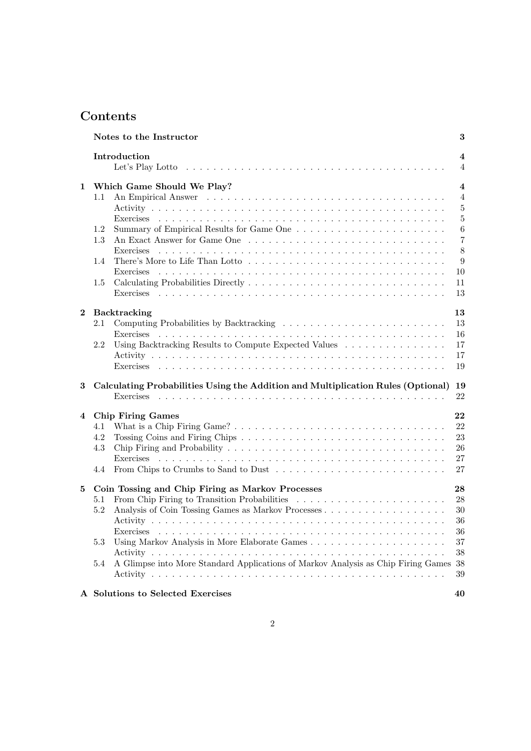## **Contents**

|              | Notes to the Instructor                                                                                                                                           | 3                                                                                                                   |
|--------------|-------------------------------------------------------------------------------------------------------------------------------------------------------------------|---------------------------------------------------------------------------------------------------------------------|
|              | Introduction                                                                                                                                                      | $\overline{\mathbf{4}}$<br>$\overline{4}$                                                                           |
| $\mathbf{1}$ | Which Game Should We Play?<br>$1.1\,$<br>1.2<br>1.3<br>1.4<br>$1.5\,$                                                                                             | $\overline{\mathbf{4}}$<br>$\overline{4}$<br>5<br>$\overline{5}$<br>6<br>$\overline{7}$<br>8<br>9<br>10<br>11<br>13 |
| $\mathbf{2}$ | Backtracking<br>2.1<br>Exercises<br>Using Backtracking Results to Compute Expected Values $\ldots \ldots \ldots \ldots \ldots$<br>2.2                             | 13<br>13<br>16<br>17<br>17<br>19                                                                                    |
| 3            | Calculating Probabilities Using the Addition and Multiplication Rules (Optional)                                                                                  | 19<br>22                                                                                                            |
| 4            | <b>Chip Firing Games</b><br>4.1<br>4.2<br>4.3<br>4.4                                                                                                              | 22<br>22<br>23<br>26<br>27<br>27                                                                                    |
| 5            | Coin Tossing and Chip Firing as Markov Processes<br>5.1<br>5.2<br>5.3<br>A Glimpse into More Standard Applications of Markov Analysis as Chip Firing Games<br>5.4 | 28<br>28<br>30<br>36<br>36<br>37<br>38<br>38<br>39                                                                  |
|              | A Solutions to Selected Exercises                                                                                                                                 | 40                                                                                                                  |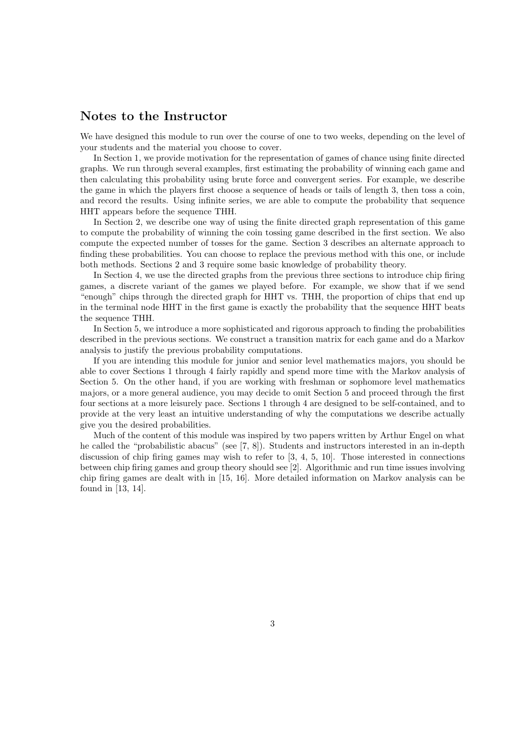### Notes to the Instructor

We have designed this module to run over the course of one to two weeks, depending on the level of your students and the material you choose to cover.

In Section 1, we provide motivation for the representation of games of chance using finite directed graphs. We run through several examples, first estimating the probability of winning each game and then calculating this probability using brute force and convergent series. For example, we describe the game in which the players first choose a sequence of heads or tails of length 3, then toss a coin, and record the results. Using infinite series, we are able to compute the probability that sequence HHT appears before the sequence THH.

In Section 2, we describe one way of using the finite directed graph representation of this game to compute the probability of winning the coin tossing game described in the first section. We also compute the expected number of tosses for the game. Section 3 describes an alternate approach to finding these probabilities. You can choose to replace the previous method with this one, or include both methods. Sections 2 and 3 require some basic knowledge of probability theory.

In Section 4, we use the directed graphs from the previous three sections to introduce chip firing games, a discrete variant of the games we played before. For example, we show that if we send "enough" chips through the directed graph for HHT vs. THH, the proportion of chips that end up in the terminal node HHT in the first game is exactly the probability that the sequence HHT beats the sequence THH.

In Section 5, we introduce a more sophisticated and rigorous approach to finding the probabilities described in the previous sections. We construct a transition matrix for each game and do a Markov analysis to justify the previous probability computations.

If you are intending this module for junior and senior level mathematics majors, you should be able to cover Sections 1 through 4 fairly rapidly and spend more time with the Markov analysis of Section 5. On the other hand, if you are working with freshman or sophomore level mathematics majors, or a more general audience, you may decide to omit Section 5 and proceed through the first four sections at a more leisurely pace. Sections 1 through 4 are designed to be self-contained, and to provide at the very least an intuitive understanding of why the computations we describe actually give you the desired probabilities.

Much of the content of this module was inspired by two papers written by Arthur Engel on what he called the "probabilistic abacus" (see [7, 8]). Students and instructors interested in an in-depth discussion of chip firing games may wish to refer to [3, 4, 5, 10]. Those interested in connections between chip firing games and group theory should see [2]. Algorithmic and run time issues involving chip firing games are dealt with in [15, 16]. More detailed information on Markov analysis can be found in [13, 14].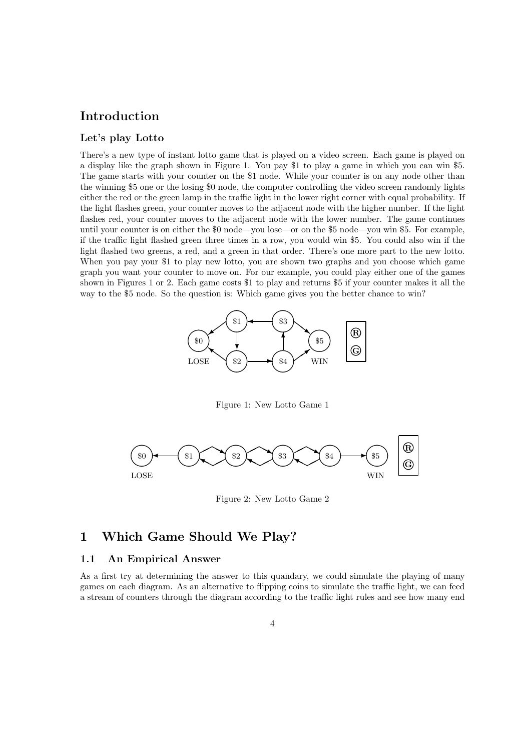### Introduction

### Let's play Lotto

There's a new type of instant lotto game that is played on a video screen. Each game is played on a display like the graph shown in Figure 1. You pay \$1 to play a game in which you can win \$5. The game starts with your counter on the \$1 node. While your counter is on any node other than the winning \$5 one or the losing \$0 node, the computer controlling the video screen randomly lights either the red or the green lamp in the traffic light in the lower right corner with equal probability. If the light flashes green, your counter moves to the adjacent node with the higher number. If the light flashes red, your counter moves to the adjacent node with the lower number. The game continues until your counter is on either the \$0 node—you lose—or on the \$5 node—you win \$5. For example, if the traffic light flashed green three times in a row, you would win \$5. You could also win if the light flashed two greens, a red, and a green in that order. There's one more part to the new lotto. When you pay your \$1 to play new lotto, you are shown two graphs and you choose which game graph you want your counter to move on. For our example, you could play either one of the games shown in Figures 1 or 2. Each game costs \$1 to play and returns \$5 if your counter makes it all the way to the \$5 node. So the question is: Which game gives you the better chance to win?



Figure 1: New Lotto Game 1



Figure 2: New Lotto Game 2

### 1 Which Game Should We Play?

### 1.1 An Empirical Answer

As a first try at determining the answer to this quandary, we could simulate the playing of many games on each diagram. As an alternative to flipping coins to simulate the traffic light, we can feed a stream of counters through the diagram according to the traffic light rules and see how many end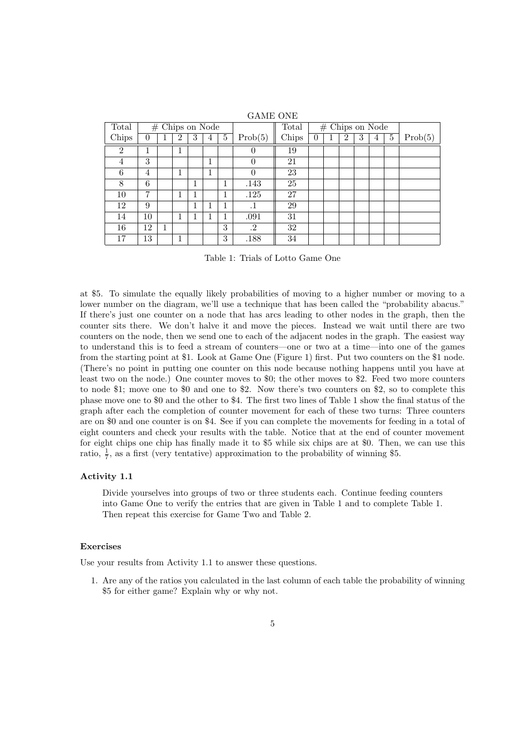| Total          |    |   |                |   | $#$ Chips on Node |   |                | Total | $#$ Chips on Node |  |                |   |   |   |         |
|----------------|----|---|----------------|---|-------------------|---|----------------|-------|-------------------|--|----------------|---|---|---|---------|
| Chips          | 0  |   | $\overline{2}$ | 3 | 4                 | 5 | Prob(5)        | Chips | $\theta$          |  | $\overline{2}$ | 3 | 4 | 5 | Prob(5) |
| $\overline{2}$ | 1  |   |                |   |                   |   | $\overline{0}$ | 19    |                   |  |                |   |   |   |         |
| 4              | 3  |   |                |   | 1                 |   | $\theta$       | 21    |                   |  |                |   |   |   |         |
| 6              | 4  |   |                |   | 1                 |   | $\theta$       | 23    |                   |  |                |   |   |   |         |
| 8              | 6  |   |                | 1 |                   |   | .143           | 25    |                   |  |                |   |   |   |         |
| 10             | 7  |   |                | 1 |                   |   | .125           | 27    |                   |  |                |   |   |   |         |
| 12             | 9  |   |                | 1 |                   |   | $\cdot^1$      | 29    |                   |  |                |   |   |   |         |
| 14             | 10 |   | 1              | 1 |                   |   | .091           | 31    |                   |  |                |   |   |   |         |
| 16             | 12 | 1 |                |   |                   | 3 | .2             | 32    |                   |  |                |   |   |   |         |
| 17             | 13 |   | 1<br>┻         |   |                   | 3 | .188           | 34    |                   |  |                |   |   |   |         |

GAME ONE

Table 1: Trials of Lotto Game One

at \$5. To simulate the equally likely probabilities of moving to a higher number or moving to a lower number on the diagram, we'll use a technique that has been called the "probability abacus." If there's just one counter on a node that has arcs leading to other nodes in the graph, then the counter sits there. We don't halve it and move the pieces. Instead we wait until there are two counters on the node, then we send one to each of the adjacent nodes in the graph. The easiest way to understand this is to feed a stream of counters—one or two at a time—into one of the games from the starting point at \$1. Look at Game One (Figure 1) first. Put two counters on the \$1 node. (There's no point in putting one counter on this node because nothing happens until you have at least two on the node.) One counter moves to \$0; the other moves to \$2. Feed two more counters to node \$1; move one to \$0 and one to \$2. Now there's two counters on \$2, so to complete this phase move one to \$0 and the other to \$4. The first two lines of Table 1 show the final status of the graph after each the completion of counter movement for each of these two turns: Three counters are on \$0 and one counter is on \$4. See if you can complete the movements for feeding in a total of eight counters and check your results with the table. Notice that at the end of counter movement for eight chips one chip has finally made it to \$5 while six chips are at \$0. Then, we can use this ratio,  $\frac{1}{7}$ , as a first (very tentative) approximation to the probability of winning \$5.

### Activity 1.1

Divide yourselves into groups of two or three students each. Continue feeding counters into Game One to verify the entries that are given in Table 1 and to complete Table 1. Then repeat this exercise for Game Two and Table 2.

### Exercises

Use your results from Activity 1.1 to answer these questions.

1. Are any of the ratios you calculated in the last column of each table the probability of winning \$5 for either game? Explain why or why not.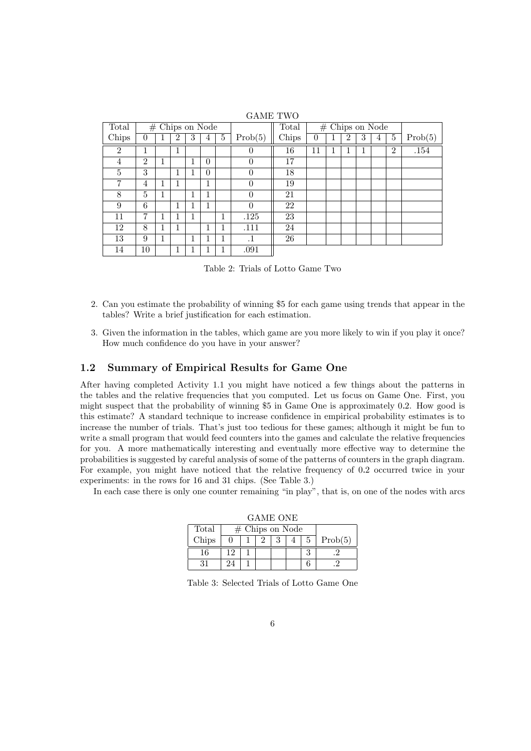| Total          | $#$ Chips on Node |   |                |   |          |   |           | Total |          | $#$ Chips on Node |   |   |   |                |          |
|----------------|-------------------|---|----------------|---|----------|---|-----------|-------|----------|-------------------|---|---|---|----------------|----------|
| Chips          | $\Omega$          |   | $\overline{2}$ | 3 | 4        | 5 | Prob(5)   | Chips | $\theta$ |                   | 2 | 3 | 4 | 5              | Prob(5)  |
| $\overline{2}$ |                   |   | ⊥              |   |          |   | 0         | 16    | 11       |                   |   | T |   | $\overline{2}$ | $.154\,$ |
| 4              | $\overline{2}$    |   |                |   | $\theta$ |   | $\theta$  | 17    |          |                   |   |   |   |                |          |
| 5              | 3                 |   |                |   | $\theta$ |   | $\theta$  | 18    |          |                   |   |   |   |                |          |
| 7              | 4                 |   |                |   | 1        |   | $\theta$  | 19    |          |                   |   |   |   |                |          |
| 8              | 5                 | 1 |                | 1 | 1        |   | $\theta$  | 21    |          |                   |   |   |   |                |          |
| 9              | 6                 |   | 1              |   | 1        |   | $\theta$  | 22    |          |                   |   |   |   |                |          |
| 11             | 7                 |   |                | 1 |          | 1 | .125      | 23    |          |                   |   |   |   |                |          |
| 12             | 8                 |   |                |   | 1        |   | .111      | 24    |          |                   |   |   |   |                |          |
| 13             | 9                 |   |                | 1 |          |   | $\cdot$ 1 | 26    |          |                   |   |   |   |                |          |
| 14             | 10                |   |                |   |          |   | .091      |       |          |                   |   |   |   |                |          |

GAME TWO

Table 2: Trials of Lotto Game Two

- 2. Can you estimate the probability of winning \$5 for each game using trends that appear in the tables? Write a brief justification for each estimation.
- 3. Given the information in the tables, which game are you more likely to win if you play it once? How much confidence do you have in your answer?

### 1.2 Summary of Empirical Results for Game One

After having completed Activity 1.1 you might have noticed a few things about the patterns in the tables and the relative frequencies that you computed. Let us focus on Game One. First, you might suspect that the probability of winning \$5 in Game One is approximately 0.2. How good is this estimate? A standard technique to increase confidence in empirical probability estimates is to increase the number of trials. That's just too tedious for these games; although it might be fun to write a small program that would feed counters into the games and calculate the relative frequencies for you. A more mathematically interesting and eventually more effective way to determine the probabilities is suggested by careful analysis of some of the patterns of counters in the graph diagram. For example, you might have noticed that the relative frequency of 0.2 occurred twice in your experiments: in the rows for 16 and 31 chips. (See Table 3.)

In each case there is only one counter remaining "in play", that is, on one of the nodes with arcs

|       | GAME VIIE |                   |  |  |  |    |         |  |  |  |  |  |
|-------|-----------|-------------------|--|--|--|----|---------|--|--|--|--|--|
| Total |           | $#$ Chips on Node |  |  |  |    |         |  |  |  |  |  |
| Chips |           |                   |  |  |  | 5. | Prob(5) |  |  |  |  |  |
| 16    | 19        |                   |  |  |  |    |         |  |  |  |  |  |
|       |           |                   |  |  |  |    |         |  |  |  |  |  |

GAME ONE

Table 3: Selected Trials of Lotto Game One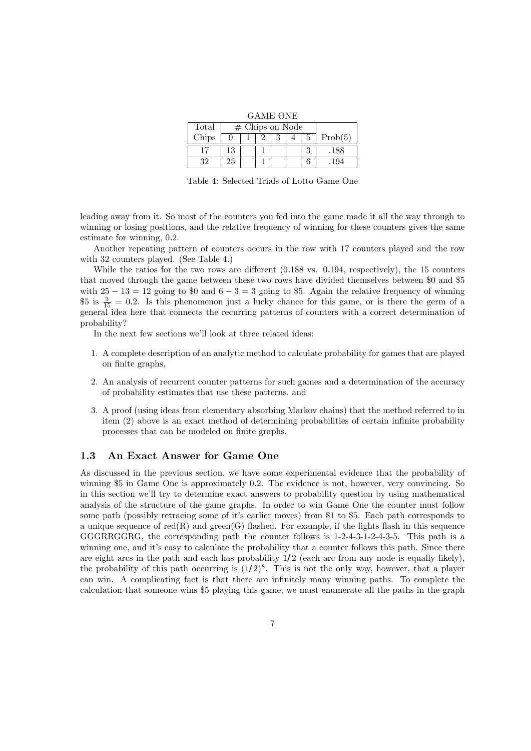|  | GAME ONE |
|--|----------|
|  |          |

| Total | $#$ Chips on Node |  |  |  |  |   |         |
|-------|-------------------|--|--|--|--|---|---------|
| Chips |                   |  |  |  |  | 5 | Prob(5) |
|       |                   |  |  |  |  |   | .188    |
|       |                   |  |  |  |  |   |         |

Table 4: Selected Trials of Lotto Game One

leading away from it. So most of the counters you fed into the game made it all the way through to winning or losing positions, and the relative frequency of winning for these counters gives the same estimate for winning, 0.2.

Another repeating pattern of counters occurs in the row with 17 counters played and the row with 32 counters played. (See Table 4.)

While the ratios for the two rows are different (0.188 vs. 0.194, respectively), the 15 counters that moved through the game between these two rows have divided themselves between \$0 and \$5 with  $25 - 13 = 12$  going to \$0 and  $6 - 3 = 3$  going to \$5. Again the relative frequency of winning  $$5 \text{ is } \frac{3}{15} = 0.2$ . Is this phenomenon just a lucky chance for this game, or is there the germ of a general idea here that connects the recurring patterns of counters with a correct determination of probability?

In the next few sections we'll look at three related ideas:

- 1. A complete description of an analytic method to calculate probability for games that are played on finite graphs,
- 2. An analysis of recurrent counter patterns for such games and a determination of the accuracy of probability estimates that use these patterns, and
- 3. A proof (using ideas from elementary absorbing Markov chains) that the method referred to in item (2) above is an exact method of determining probabilities of certain infinite probability processes that can be modeled on finite graphs.

### 1.3 An Exact Answer for Game One

As discussed in the previous section, we have some experimental evidence that the probability of winning \$5 in Game One is approximately 0.2. The evidence is not, however, very convincing. So in this section we'll try to determine exact answers to probability question by using mathematical analysis of the structure of the game graphs. In order to win Game One the counter must follow some path (possibly retracing some of it's earlier moves) from \$1 to \$5. Each path corresponds to a unique sequence of  $red(R)$  and green $(G)$  flashed. For example, if the lights flash in this sequence GGGRRGGRG, the corresponding path the counter follows is 1-2-4-3-1-2-4-3-5. This path is a winning one, and it's easy to calculate the probability that a counter follows this path. Since there are eight arcs in the path and each has probability  $1/2$  (each arc from any node is equally likely), the probability of this path occurring is  $(1/2)^8$ . This is not the only way, however, that a player can win. A complicating fact is that there are infinitely many winning paths. To complete the calculation that someone wins \$5 playing this game, we must enumerate all the paths in the graph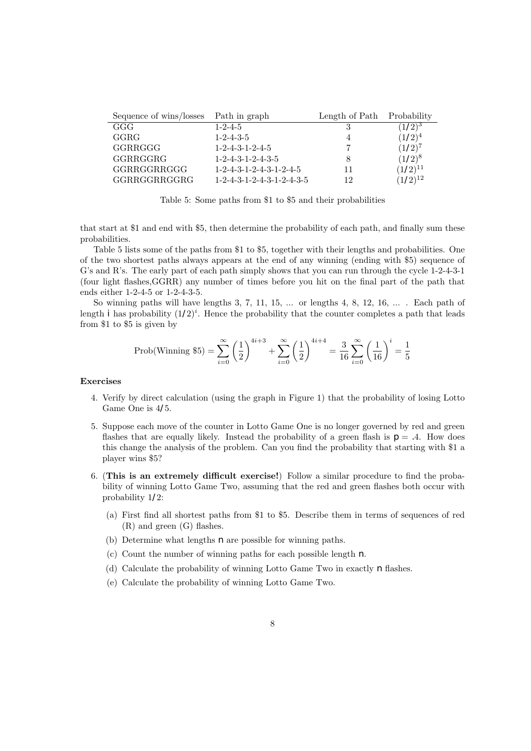| Sequence of wins/losses | Path in graph                       | Length of Path | Probability  |
|-------------------------|-------------------------------------|----------------|--------------|
| GGG                     | $1 - 2 - 4 - 5$                     |                | $(1/2)^3$    |
| GGRG                    | $1 - 2 - 4 - 3 - 5$                 |                | $(1/2)^4$    |
| GGRRGGG                 | $1 - 2 - 4 - 3 - 1 - 2 - 4 - 5$     |                | $(1/2)^{7}$  |
| GGRRGGRG                | $1 - 2 - 4 - 3 - 1 - 2 - 4 - 3 - 5$ |                | $(1/2)^8$    |
| GGRRGGRRGGG             | $1-2-4-3-1-2-4-3-1-2-4-5$           |                | $(1/2)^{11}$ |
| GGRRGGRRGGRG            | $1-2-4-3-1-2-4-3-1-2-4-3-5$         | 12             | $(1/2)^{12}$ |

Table 5: Some paths from \$1 to \$5 and their probabilities

that start at \$1 and end with \$5, then determine the probability of each path, and finally sum these probabilities.

Table 5 lists some of the paths from \$1 to \$5, together with their lengths and probabilities. One of the two shortest paths always appears at the end of any winning (ending with \$5) sequence of G's and R's. The early part of each path simply shows that you can run through the cycle 1-2-4-3-1 (four light flashes,GGRR) any number of times before you hit on the final part of the path that ends either 1-2-4-5 or 1-2-4-3-5.

So winning paths will have lengths 3, 7, 11, 15, ... or lengths 4, 8, 12, 16, ... . Each path of length *i* has probability  $(1/2)^i$ . Hence the probability that the counter completes a path that leads from \$1 to \$5 is given by

$$
\text{Prob}(\text{Winning } \$5) = \sum_{i=0}^{\infty} \left(\frac{1}{2}\right)^{4i+3} + \sum_{i=0}^{\infty} \left(\frac{1}{2}\right)^{4i+4} = \frac{3}{16} \sum_{i=0}^{\infty} \left(\frac{1}{16}\right)^i = \frac{1}{5}
$$

#### Exercises

- 4. Verify by direct calculation (using the graph in Figure 1) that the probability of losing Lotto Game One is 4/5.
- 5. Suppose each move of the counter in Lotto Game One is no longer governed by red and green flashes that are equally likely. Instead the probability of a green flash is  $p = .4$ . How does this change the analysis of the problem. Can you find the probability that starting with \$1 a player wins \$5?
- 6. (This is an extremely difficult exercise!) Follow a similar procedure to find the probability of winning Lotto Game Two, assuming that the red and green flashes both occur with probability 1/2:
	- (a) First find all shortest paths from \$1 to \$5. Describe them in terms of sequences of red (R) and green (G) flashes.
	- (b) Determine what lengths  $n$  are possible for winning paths.
	- (c) Count the number of winning paths for each possible length  $n$ .
	- (d) Calculate the probability of winning Lotto Game Two in exactly  $n$  flashes.
	- (e) Calculate the probability of winning Lotto Game Two.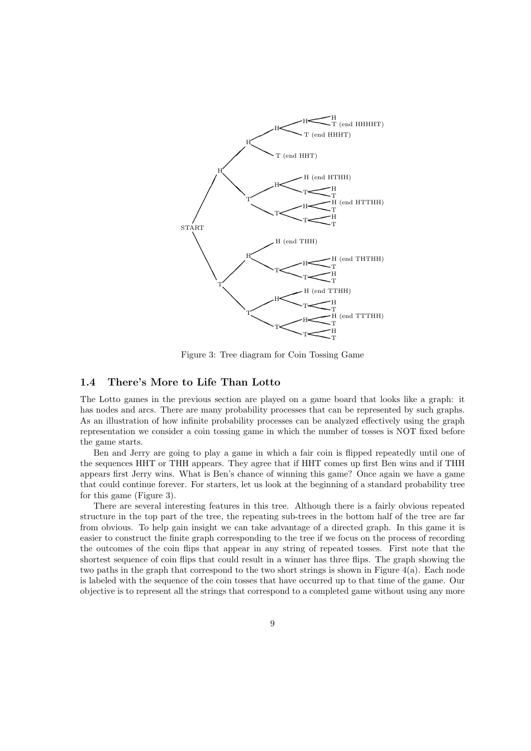

Figure 3: Tree diagram for Coin Tossing Game

### 1.4 There's More to Life Than Lotto

The Lotto games in the previous section are played on a game board that looks like a graph: it has nodes and arcs. There are many probability processes that can be represented by such graphs. As an illustration of how infinite probability processes can be analyzed effectively using the graph representation we consider a coin tossing game in which the number of tosses is NOT fixed before the game starts.

Ben and Jerry are going to play a game in which a fair coin is flipped repeatedly until one of the sequences HHT or THH appears. They agree that if HHT comes up first Ben wins and if THH appears first Jerry wins. What is Ben's chance of winning this game? Once again we have a game that could continue forever. For starters, let us look at the beginning of a standard probability tree for this game (Figure 3).

There are several interesting features in this tree. Although there is a fairly obvious repeated structure in the top part of the tree, the repeating sub-trees in the bottom half of the tree are far from obvious. To help gain insight we can take advantage of a directed graph. In this game it is easier to construct the finite graph corresponding to the tree if we focus on the process of recording the outcomes of the coin flips that appear in any string of repeated tosses. First note that the shortest sequence of coin flips that could result in a winner has three flips. The graph showing the two paths in the graph that correspond to the two short strings is shown in Figure 4(a). Each node is labeled with the sequence of the coin tosses that have occurred up to that time of the game. Our objective is to represent all the strings that correspond to a completed game without using any more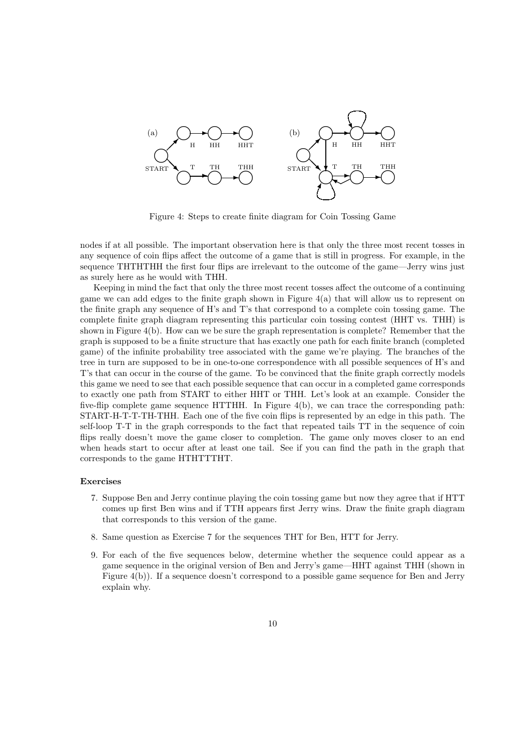

Figure 4: Steps to create finite diagram for Coin Tossing Game

nodes if at all possible. The important observation here is that only the three most recent tosses in any sequence of coin flips affect the outcome of a game that is still in progress. For example, in the sequence THTHTHH the first four flips are irrelevant to the outcome of the game—Jerry wins just as surely here as he would with THH.

Keeping in mind the fact that only the three most recent tosses affect the outcome of a continuing game we can add edges to the finite graph shown in Figure  $4(a)$  that will allow us to represent on the finite graph any sequence of H's and T's that correspond to a complete coin tossing game. The complete finite graph diagram representing this particular coin tossing contest (HHT vs. THH) is shown in Figure 4(b). How can we be sure the graph representation is complete? Remember that the graph is supposed to be a finite structure that has exactly one path for each finite branch (completed game) of the infinite probability tree associated with the game we're playing. The branches of the tree in turn are supposed to be in one-to-one correspondence with all possible sequences of H's and T's that can occur in the course of the game. To be convinced that the finite graph correctly models this game we need to see that each possible sequence that can occur in a completed game corresponds to exactly one path from START to either HHT or THH. Let's look at an example. Consider the five-flip complete game sequence HTTHH. In Figure 4(b), we can trace the corresponding path: START-H-T-T-TH-THH. Each one of the five coin flips is represented by an edge in this path. The self-loop T-T in the graph corresponds to the fact that repeated tails TT in the sequence of coin flips really doesn't move the game closer to completion. The game only moves closer to an end when heads start to occur after at least one tail. See if you can find the path in the graph that corresponds to the game HTHTTTHT.

#### Exercises

- 7. Suppose Ben and Jerry continue playing the coin tossing game but now they agree that if HTT comes up first Ben wins and if TTH appears first Jerry wins. Draw the finite graph diagram that corresponds to this version of the game.
- 8. Same question as Exercise 7 for the sequences THT for Ben, HTT for Jerry.
- 9. For each of the five sequences below, determine whether the sequence could appear as a game sequence in the original version of Ben and Jerry's game—HHT against THH (shown in Figure 4(b)). If a sequence doesn't correspond to a possible game sequence for Ben and Jerry explain why.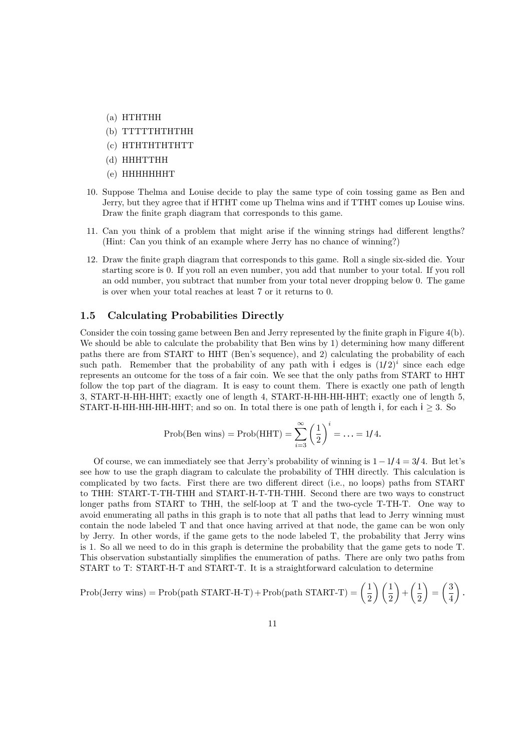- (a) HTHTHH
- (b) TTTTTHTHTHH
- (c) HTHTHTHTHTT
- (d) HHHTTHH
- (e) HHHHHHHT
- 10. Suppose Thelma and Louise decide to play the same type of coin tossing game as Ben and Jerry, but they agree that if HTHT come up Thelma wins and if TTHT comes up Louise wins. Draw the finite graph diagram that corresponds to this game.
- 11. Can you think of a problem that might arise if the winning strings had different lengths? (Hint: Can you think of an example where Jerry has no chance of winning?)
- 12. Draw the finite graph diagram that corresponds to this game. Roll a single six-sided die. Your starting score is 0. If you roll an even number, you add that number to your total. If you roll an odd number, you subtract that number from your total never dropping below 0. The game is over when your total reaches at least 7 or it returns to 0.

### 1.5 Calculating Probabilities Directly

Consider the coin tossing game between Ben and Jerry represented by the finite graph in Figure 4(b). We should be able to calculate the probability that Ben wins by 1) determining how many different paths there are from START to HHT (Ben's sequence), and 2) calculating the probability of each such path. Remember that the probability of any path with *i* edges is  $(1/2)^i$  since each edge represents an outcome for the toss of a fair coin. We see that the only paths from START to HHT follow the top part of the diagram. It is easy to count them. There is exactly one path of length 3, START-H-HH-HHT; exactly one of length 4, START-H-HH-HH-HHT; exactly one of length 5, START-H-HH-HH-HH-HHT; and so on. In total there is one path of length i, for each  $i \geq 3$ . So

$$
\text{Prob}(\text{Ben wins}) = \text{Prob}(\text{HHT}) = \sum_{i=3}^{\infty} \left(\frac{1}{2}\right)^i = \ldots = 1/4.
$$

Of course, we can immediately see that Jerry's probability of winning is  $1-1/4 = 3/4$ . But let's see how to use the graph diagram to calculate the probability of THH directly. This calculation is complicated by two facts. First there are two different direct (i.e., no loops) paths from START to THH: START-T-TH-THH and START-H-T-TH-THH. Second there are two ways to construct longer paths from START to THH, the self-loop at T and the two-cycle T-TH-T. One way to avoid enumerating all paths in this graph is to note that all paths that lead to Jerry winning must contain the node labeled T and that once having arrived at that node, the game can be won only by Jerry. In other words, if the game gets to the node labeled T, the probability that Jerry wins is 1. So all we need to do in this graph is determine the probability that the game gets to node T. This observation substantially simplifies the enumeration of paths. There are only two paths from START to T: START-H-T and START-T. It is a straightforward calculation to determine

$$
Prob(Jerry wins) = Prob(path \, START\text{-}H\text{-}T) + Prob(path \, START\text{-}T) = \left(\frac{1}{2}\right)\left(\frac{1}{2}\right) + \left(\frac{1}{2}\right) = \left(\frac{3}{4}\right).
$$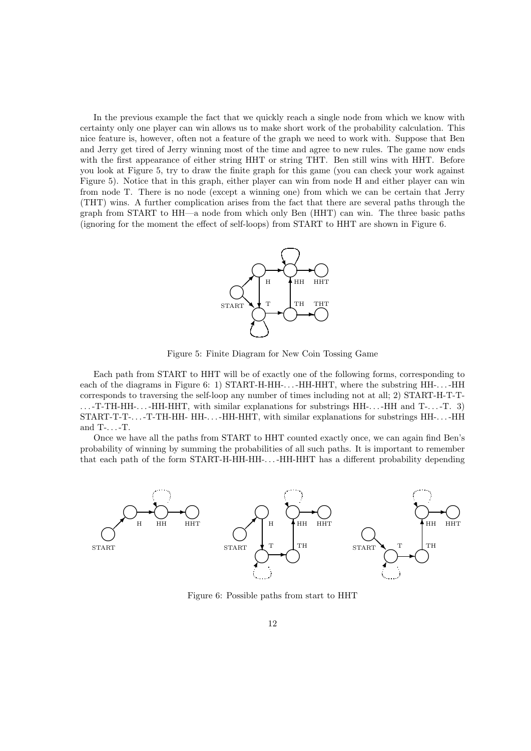In the previous example the fact that we quickly reach a single node from which we know with certainty only one player can win allows us to make short work of the probability calculation. This nice feature is, however, often not a feature of the graph we need to work with. Suppose that Ben and Jerry get tired of Jerry winning most of the time and agree to new rules. The game now ends with the first appearance of either string HHT or string THT. Ben still wins with HHT. Before you look at Figure 5, try to draw the finite graph for this game (you can check your work against Figure 5). Notice that in this graph, either player can win from node H and either player can win from node T. There is no node (except a winning one) from which we can be certain that Jerry (THT) wins. A further complication arises from the fact that there are several paths through the graph from START to HH—a node from which only Ben (HHT) can win. The three basic paths (ignoring for the moment the effect of self-loops) from START to HHT are shown in Figure 6.



Figure 5: Finite Diagram for New Coin Tossing Game

Each path from START to HHT will be of exactly one of the following forms, corresponding to each of the diagrams in Figure 6: 1) START-H-HH-...-HH-HHT, where the substring HH-...-HH corresponds to traversing the self-loop any number of times including not at all; 2) START-H-T-T- . . . -T-TH-HH-. . . -HH-HHT, with similar explanations for substrings HH-. . . -HH and T-. . . -T. 3) START-T-T-. . . -T-TH-HH- HH-. . . -HH-HHT, with similar explanations for substrings HH-. . . -HH and T-. . . -T.

Once we have all the paths from START to HHT counted exactly once, we can again find Ben's probability of winning by summing the probabilities of all such paths. It is important to remember that each path of the form START-H-HH-HH-. . . -HH-HHT has a different probability depending



Figure 6: Possible paths from start to HHT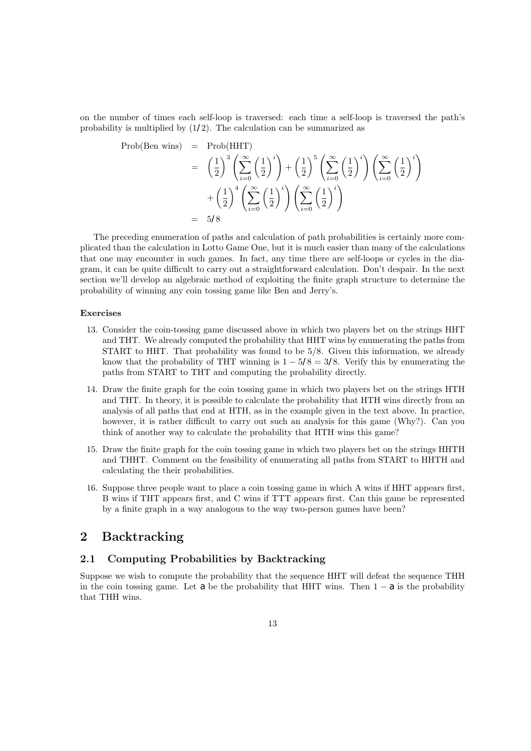on the number of times each self-loop is traversed: each time a self-loop is traversed the path's probability is multiplied by  $(1/2)$ . The calculation can be summarized as

$$
\begin{array}{rcl}\n\text{Prob(Ben wins)} & = & \text{Prob(HHT)} \\
& = & \left(\frac{1}{2}\right)^3 \left(\sum_{i=0}^{\infty} \left(\frac{1}{2}\right)^i\right) + \left(\frac{1}{2}\right)^5 \left(\sum_{i=0}^{\infty} \left(\frac{1}{2}\right)^i\right) \left(\sum_{i=0}^{\infty} \left(\frac{1}{2}\right)^i\right) \\
& & + \left(\frac{1}{2}\right)^4 \left(\sum_{i=0}^{\infty} \left(\frac{1}{2}\right)^i\right) \left(\sum_{i=0}^{\infty} \left(\frac{1}{2}\right)^i\right) \\
& = & 5\sqrt{8}\n\end{array}
$$

The preceding enumeration of paths and calculation of path probabilities is certainly more complicated than the calculation in Lotto Game One, but it is much easier than many of the calculations that one may encounter in such games. In fact, any time there are self-loops or cycles in the diagram, it can be quite difficult to carry out a straightforward calculation. Don't despair. In the next section we'll develop an algebraic method of exploiting the finite graph structure to determine the probability of winning any coin tossing game like Ben and Jerry's.

#### Exercises

- 13. Consider the coin-tossing game discussed above in which two players bet on the strings HHT and THT. We already computed the probability that HHT wins by enumerating the paths from START to HHT. That probability was found to be 5/8. Given this information, we already know that the probability of THT winning is  $1 - 5\sqrt{8} = 3\sqrt{8}$ . Verify this by enumerating the paths from START to THT and computing the probability directly.
- 14. Draw the finite graph for the coin tossing game in which two players bet on the strings HTH and THT. In theory, it is possible to calculate the probability that HTH wins directly from an analysis of all paths that end at HTH, as in the example given in the text above. In practice, however, it is rather difficult to carry out such an analysis for this game (Why?). Can you think of another way to calculate the probability that HTH wins this game?
- 15. Draw the finite graph for the coin tossing game in which two players bet on the strings HHTH and THHT. Comment on the feasibility of enumerating all paths from START to HHTH and calculating the their probabilities.
- 16. Suppose three people want to place a coin tossing game in which A wins if HHT appears first, B wins if THT appears first, and C wins if TTT appears first. Can this game be represented by a finite graph in a way analogous to the way two-person games have been?

### 2 Backtracking

### 2.1 Computing Probabilities by Backtracking

Suppose we wish to compute the probability that the sequence HHT will defeat the sequence THH in the coin tossing game. Let a be the probability that HHT wins. Then  $1 - a$  is the probability that THH wins.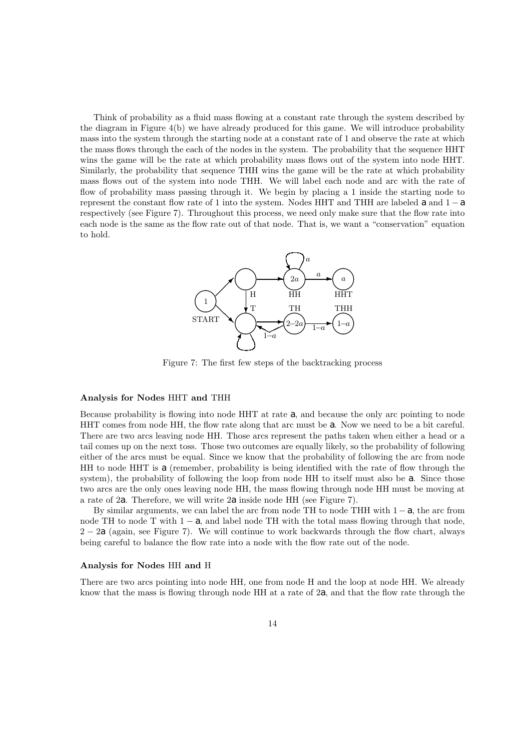Think of probability as a fluid mass flowing at a constant rate through the system described by the diagram in Figure 4(b) we have already produced for this game. We will introduce probability mass into the system through the starting node at a constant rate of 1 and observe the rate at which the mass flows through the each of the nodes in the system. The probability that the sequence HHT wins the game will be the rate at which probability mass flows out of the system into node HHT. Similarly, the probability that sequence THH wins the game will be the rate at which probability mass flows out of the system into node THH. We will label each node and arc with the rate of flow of probability mass passing through it. We begin by placing a 1 inside the starting node to represent the constant flow rate of 1 into the system. Nodes HHT and THH are labeled a and  $1 - a$ respectively (see Figure 7). Throughout this process, we need only make sure that the flow rate into each node is the same as the flow rate out of that node. That is, we want a "conservation" equation to hold.



Figure 7: The first few steps of the backtracking process

#### Analysis for Nodes HHT and THH

Because probability is flowing into node HHT at rate  $a$ , and because the only arc pointing to node HHT comes from node HH, the flow rate along that arc must be a. Now we need to be a bit careful. There are two arcs leaving node HH. Those arcs represent the paths taken when either a head or a tail comes up on the next toss. Those two outcomes are equally likely, so the probability of following either of the arcs must be equal. Since we know that the probability of following the arc from node HH to node HHT is  $\alpha$  (remember, probability is being identified with the rate of flow through the system), the probability of following the loop from node HH to itself must also be a. Since those two arcs are the only ones leaving node HH, the mass flowing through node HH must be moving at a rate of 2a. Therefore, we will write  $2a$  inside node HH (see Figure 7).

By similar arguments, we can label the arc from node TH to node THH with  $1 - a$ , the arc from node TH to node T with  $1 - a$ , and label node TH with the total mass flowing through that node, 2 − 2a (again, see Figure 7). We will continue to work backwards through the flow chart, always being careful to balance the flow rate into a node with the flow rate out of the node.

#### Analysis for Nodes HH and H

There are two arcs pointing into node HH, one from node H and the loop at node HH. We already know that the mass is flowing through node HH at a rate of  $2a$ , and that the flow rate through the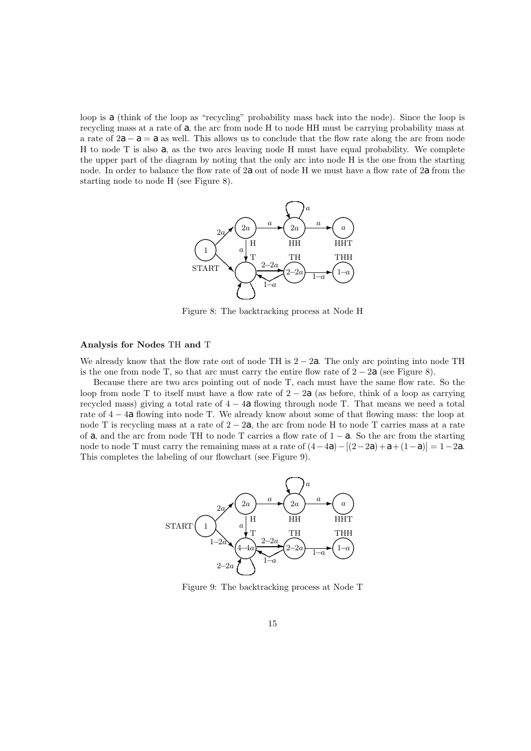loop is a (think of the loop as "recycling" probability mass back into the node). Since the loop is recycling mass at a rate of a, the arc from node H to node HH must be carrying probability mass at a rate of  $2a - a = a$  as well. This allows us to conclude that the flow rate along the arc from node H to node T is also  $a$ , as the two arcs leaving node H must have equal probability. We complete the upper part of the diagram by noting that the only arc into node H is the one from the starting node. In order to balance the flow rate of 2a out of node H we must have a flow rate of 2a from the starting node to node H (see Figure 8).



Figure 8: The backtracking process at Node H

### Analysis for Nodes TH and T

We already know that the flow rate out of node TH is  $2 - 2a$ . The only arc pointing into node TH is the one from node T, so that arc must carry the entire flow rate of  $2 - 2a$  (see Figure 8).

Because there are two arcs pointing out of node T, each must have the same flow rate. So the loop from node T to itself must have a flow rate of  $2 - 2a$  (as before, think of a loop as carrying recycled mass) giving a total rate of  $4 - 4a$  flowing through node T. That means we need a total rate of 4 − 4a flowing into node T. We already know about some of that flowing mass: the loop at node T is recycling mass at a rate of  $2 - 2a$ , the arc from node H to node T carries mass at a rate of a, and the arc from node TH to node T carries a flow rate of  $1 - a$ . So the arc from the starting node to node T must carry the remaining mass at a rate of  $(4-4a) - [(2-2a) + a + (1-a)] = 1-2a$ . This completes the labeling of our flowchart (see Figure 9).



Figure 9: The backtracking process at Node T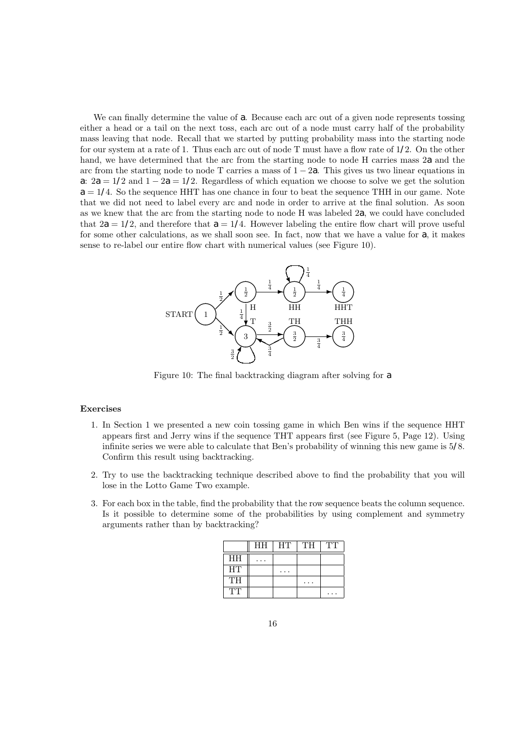We can finally determine the value of a. Because each arc out of a given node represents tossing either a head or a tail on the next toss, each arc out of a node must carry half of the probability mass leaving that node. Recall that we started by putting probability mass into the starting node for our system at a rate of 1. Thus each arc out of node T must have a flow rate of 1/2. On the other hand, we have determined that the arc from the starting node to node H carries mass  $2a$  and the arc from the starting node to node T carries a mass of  $1 - 2a$ . This gives us two linear equations in a:  $2a = 1/2$  and  $1 - 2a = 1/2$ . Regardless of which equation we choose to solve we get the solution  $a = 1/4$ . So the sequence HHT has one chance in four to beat the sequence THH in our game. Note that we did not need to label every arc and node in order to arrive at the final solution. As soon as we knew that the arc from the starting node to node H was labeled 2a, we could have concluded that  $2a = 1/2$ , and therefore that  $a = 1/4$ . However labeling the entire flow chart will prove useful for some other calculations, as we shall soon see. In fact, now that we have a value for  $a$ , it makes sense to re-label our entire flow chart with numerical values (see Figure 10).



Figure 10: The final backtracking diagram after solving for a

### Exercises

- 1. In Section 1 we presented a new coin tossing game in which Ben wins if the sequence HHT appears first and Jerry wins if the sequence THT appears first (see Figure 5, Page 12). Using infinite series we were able to calculate that Ben's probability of winning this new game is 5/8. Confirm this result using backtracking.
- 2. Try to use the backtracking technique described above to find the probability that you will lose in the Lotto Game Two example.
- 3. For each box in the table, find the probability that the row sequence beats the column sequence. Is it possible to determine some of the probabilities by using complement and symmetry arguments rather than by backtracking?

|           | HH | HT | TH | TT |
|-----------|----|----|----|----|
| HH        |    |    |    |    |
| <b>HT</b> |    |    |    |    |
| TН        |    |    |    |    |
| եւեւե     |    |    |    |    |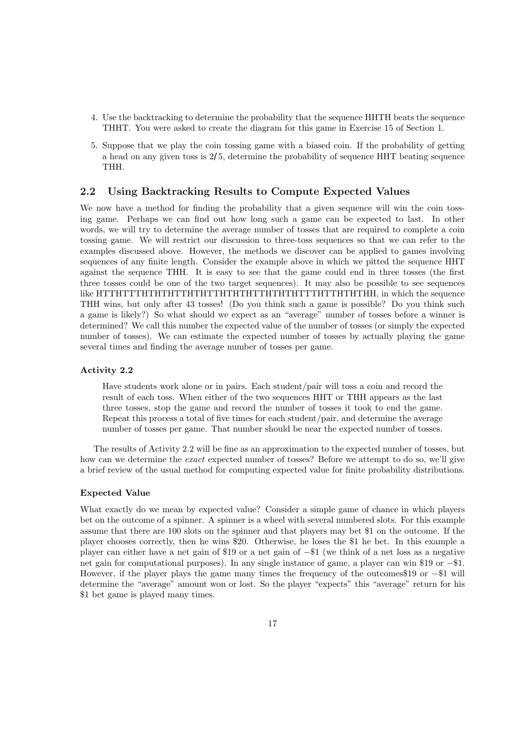- 4. Use the backtracking to determine the probability that the sequence HHTH beats the sequence THHT. You were asked to create the diagram for this game in Exercise 15 of Section 1.
- 5. Suppose that we play the coin tossing game with a biased coin. If the probability of getting a head on any given toss is 2/5, determine the probability of sequence HHT beating sequence THH.

### 2.2 Using Backtracking Results to Compute Expected Values

We now have a method for finding the probability that a given sequence will win the coin tossing game. Perhaps we can find out how long such a game can be expected to last. In other words, we will try to determine the average number of tosses that are required to complete a coin tossing game. We will restrict our discussion to three-toss sequences so that we can refer to the examples discussed above. However, the methods we discover can be applied to games involving sequences of any finite length. Consider the example above in which we pitted the sequence HHT against the sequence THH. It is easy to see that the game could end in three tosses (the first three tosses could be one of the two target sequences). It may also be possible to see sequences like HTTHTTTHTHTHTTHTHTTHTHTHTTHTHTHTTTHTTHTHTHH, in which the sequence THH wins, but only after 43 tosses! (Do you think such a game is possible? Do you think such a game is likely?) So what should we expect as an "average" number of tosses before a winner is determined? We call this number the expected value of the number of tosses (or simply the expected number of tosses). We can estimate the expected number of tosses by actually playing the game several times and finding the average number of tosses per game.

### Activity 2.2

Have students work alone or in pairs. Each student/pair will toss a coin and record the result of each toss. When either of the two sequences HHT or THH appears as the last three tosses, stop the game and record the number of tosses it took to end the game. Repeat this process a total of five times for each student/pair, and determine the average number of tosses per game. That number should be near the expected number of tosses.

The results of Activity 2.2 will be fine as an approximation to the expected number of tosses, but how can we determine the *exact* expected number of tosses? Before we attempt to do so, we'll give a brief review of the usual method for computing expected value for finite probability distributions.

#### Expected Value

What exactly do we mean by expected value? Consider a simple game of chance in which players bet on the outcome of a spinner. A spinner is a wheel with several numbered slots. For this example assume that there are 100 slots on the spinner and that players may bet \$1 on the outcome. If the player chooses correctly, then he wins \$20. Otherwise, he loses the \$1 he bet. In this example a player can either have a net gain of \$19 or a net gain of −\$1 (we think of a net loss as a negative net gain for computational purposes). In any single instance of game, a player can win \$19 or −\$1. However, if the player plays the game many times the frequency of the outcomes\$19 or  $-\$1$  will determine the "average" amount won or lost. So the player "expects" this "average" return for his \$1 bet game is played many times.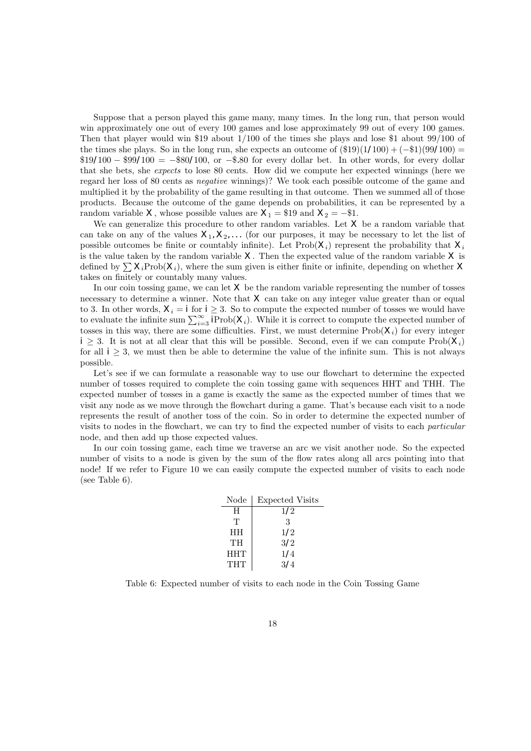Suppose that a person played this game many, many times. In the long run, that person would win approximately one out of every 100 games and lose approximately 99 out of every 100 games. Then that player would win \$19 about 1/100 of the times she plays and lose \$1 about 99/100 of the times she plays. So in the long run, she expects an outcome of  $(\$19)(1/100) + (-\$1)(99/100) =$ \$19/100 − \$99/100 = −\$80/100, or −\$.80 for every dollar bet. In other words, for every dollar that she bets, she expects to lose 80 cents. How did we compute her expected winnings (here we regard her loss of 80 cents as negative winnings)? We took each possible outcome of the game and multiplied it by the probability of the game resulting in that outcome. Then we summed all of those products. Because the outcome of the game depends on probabilities, it can be represented by a random variable X, whose possible values are  $X_1 = $19$  and  $X_2 = -\$1$ .

We can generalize this procedure to other random variables. Let  $X$  be a random variable that can take on any of the values  $X_1, X_2, \ldots$  (for our purposes, it may be necessary to let the list of possible outcomes be finite or countably infinite). Let  $\text{Prob}(X_i)$  represent the probability that  $X_i$ is the value taken by the random variable  $X$ . Then the expected value of the random variable  $X$  is defined by  $\sum X_i \text{Prob}(X_i)$ , where the sum given is either finite or infinite, depending on whether X takes on finitely or countably many values.

In our coin tossing game, we can let  $X$  be the random variable representing the number of tosses necessary to determine a winner. Note that  $X$  can take on any integer value greater than or equal to 3. In other words,  $X_i = i$  for  $i \geq 3$ . So to compute the expected number of tosses we would have to evaluate the infinite sum  $\sum_{i=3}^{\infty} P_{\text{rob}}(X_i)$ . While it is correct to compute the expected number of tosses in this way, there are some difficulties. First, we must determine  $\text{Prob}(X_i)$  for every integer  $i \geq 3$ . It is not at all clear that this will be possible. Second, even if we can compute  $\text{Prob}(X_i)$ for all  $i \geq 3$ , we must then be able to determine the value of the infinite sum. This is not always possible.

Let's see if we can formulate a reasonable way to use our flowchart to determine the expected number of tosses required to complete the coin tossing game with sequences HHT and THH. The expected number of tosses in a game is exactly the same as the expected number of times that we visit any node as we move through the flowchart during a game. That's because each visit to a node represents the result of another toss of the coin. So in order to determine the expected number of visits to nodes in the flowchart, we can try to find the expected number of visits to each particular node, and then add up those expected values.

In our coin tossing game, each time we traverse an arc we visit another node. So the expected number of visits to a node is given by the sum of the flow rates along all arcs pointing into that node! If we refer to Figure 10 we can easily compute the expected number of visits to each node (see Table 6).

| Node       | <b>Expected Visits</b> |
|------------|------------------------|
| H          | 1/2                    |
| Т          | 3                      |
| <b>HH</b>  | 1/2                    |
| TH         | 3/2                    |
| <b>HHT</b> | 1/4                    |
| THT        | 3/4                    |

Table 6: Expected number of visits to each node in the Coin Tossing Game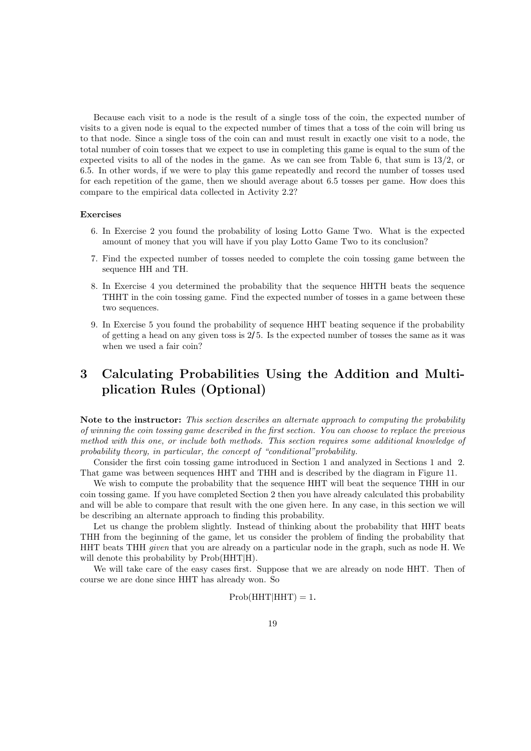Because each visit to a node is the result of a single toss of the coin, the expected number of visits to a given node is equal to the expected number of times that a toss of the coin will bring us to that node. Since a single toss of the coin can and must result in exactly one visit to a node, the total number of coin tosses that we expect to use in completing this game is equal to the sum of the expected visits to all of the nodes in the game. As we can see from Table 6, that sum is 13/2, or 6.5. In other words, if we were to play this game repeatedly and record the number of tosses used for each repetition of the game, then we should average about 6.5 tosses per game. How does this compare to the empirical data collected in Activity 2.2?

#### Exercises

- 6. In Exercise 2 you found the probability of losing Lotto Game Two. What is the expected amount of money that you will have if you play Lotto Game Two to its conclusion?
- 7. Find the expected number of tosses needed to complete the coin tossing game between the sequence HH and TH.
- 8. In Exercise 4 you determined the probability that the sequence HHTH beats the sequence THHT in the coin tossing game. Find the expected number of tosses in a game between these two sequences.
- 9. In Exercise 5 you found the probability of sequence HHT beating sequence if the probability of getting a head on any given toss is 2/5. Is the expected number of tosses the same as it was when we used a fair coin?

### 3 Calculating Probabilities Using the Addition and Multiplication Rules (Optional)

Note to the instructor: This section describes an alternate approach to computing the probability of winning the coin tossing game described in the first section. You can choose to replace the previous method with this one, or include both methods. This section requires some additional knowledge of probability theory, in particular, the concept of "conditional"probability.

Consider the first coin tossing game introduced in Section 1 and analyzed in Sections 1 and 2. That game was between sequences HHT and THH and is described by the diagram in Figure 11.

We wish to compute the probability that the sequence HHT will beat the sequence THH in our coin tossing game. If you have completed Section 2 then you have already calculated this probability and will be able to compare that result with the one given here. In any case, in this section we will be describing an alternate approach to finding this probability.

Let us change the problem slightly. Instead of thinking about the probability that HHT beats THH from the beginning of the game, let us consider the problem of finding the probability that HHT beats THH *given* that you are already on a particular node in the graph, such as node H. We will denote this probability by  $Prob(HHT|H)$ .

We will take care of the easy cases first. Suppose that we are already on node HHT. Then of course we are done since HHT has already won. So

### $Prob(HHT|HHT) = 1.$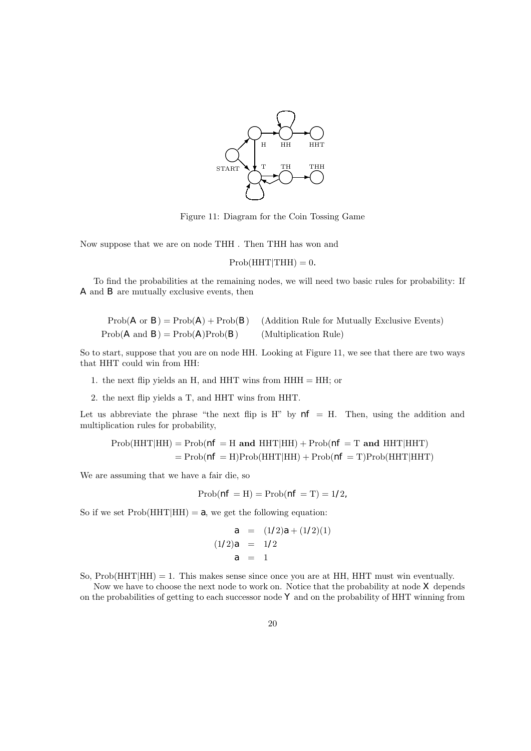

Figure 11: Diagram for the Coin Tossing Game

Now suppose that we are on node THH . Then THH has won and

 $Prob(HHT|THH) = 0.$ 

To find the probabilities at the remaining nodes, we will need two basic rules for probability: If A and B are mutually exclusive events, then

|                                           | $Prob(A \text{ or } B) = Prob(A) + Prob(B)$ (Addition Rule for Mutually Exclusive Events) |
|-------------------------------------------|-------------------------------------------------------------------------------------------|
| $Prob(A \text{ and } B) = Prob(A)Prob(B)$ | (Multiplication Rule)                                                                     |

So to start, suppose that you are on node HH. Looking at Figure 11, we see that there are two ways that HHT could win from HH:

- 1. the next flip yields an H, and HHT wins from  $HHH = HH$ ; or
- 2. the next flip yields a T, and HHT wins from HHT.

Let us abbreviate the phrase "the next flip is H" by  $n_f$  = H. Then, using the addition and multiplication rules for probability,

$$
Prob(HHT|HH) = Prob(nf = H \text{ and } HHT|HH) + Prob(nf = T \text{ and } HHT|HHT)
$$

$$
= Prob(nf = H)Prob(HHT|HH) + Prob(nf = T)Prob(HHT|HHT)
$$

We are assuming that we have a fair die, so

$$
Prob(nf = H) = Prob(nf = T) = 1/2,
$$

So if we set  $Prob(HHT|HH) = a$ , we get the following equation:

$$
a = (1/2)a + (1/2)(1)
$$
  
(1/2)a = 1/2  

$$
a = 1
$$

So,  $Prob(HHT|HH) = 1$ . This makes sense since once you are at HH, HHT must win eventually.

Now we have to choose the next node to work on. Notice that the probability at node  $X$  depends on the probabilities of getting to each successor node  $Y$  and on the probability of HHT winning from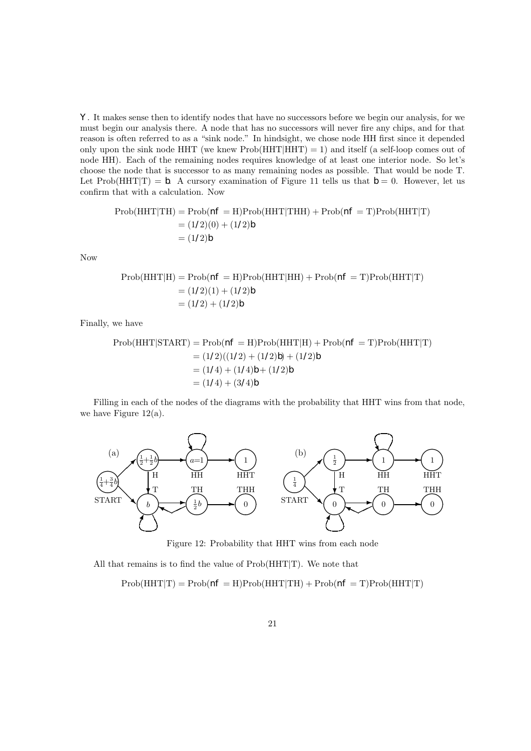Y . It makes sense then to identify nodes that have no successors before we begin our analysis, for we must begin our analysis there. A node that has no successors will never fire any chips, and for that reason is often referred to as a "sink node." In hindsight, we chose node HH first since it depended only upon the sink node HHT (we knew  $Prob(HHT|HHT) = 1$ ) and itself (a self-loop comes out of node HH). Each of the remaining nodes requires knowledge of at least one interior node. So let's choose the node that is successor to as many remaining nodes as possible. That would be node T. Let Prob(HHT|T) = b. A cursory examination of Figure 11 tells us that  $b = 0$ . However, let us confirm that with a calculation. Now

$$
\text{Prob}(\text{HHT}|\text{TH}) = \text{Prob}(n\mathbf{f} = \text{H})\text{Prob}(\text{HHT}|\text{THH}) + \text{Prob}(n\mathbf{f} = \text{T})\text{Prob}(\text{HHT}|\text{T})
$$
\n
$$
= (1/2)(0) + (1/2)b
$$
\n
$$
= (1/2)b
$$

Now

$$
\text{Prob}(\text{HHT}|\text{H}) = \text{Prob}(n\mathbf{f} = \text{H})\text{Prob}(\text{HHT}|\text{HH}) + \text{Prob}(n\mathbf{f} = \text{T})\text{Prob}(\text{HHT}|\text{T})
$$

$$
= (1/2)(1) + (1/2)b
$$

$$
= (1/2) + (1/2)b
$$

Finally, we have

Prob(HHT|STATE) = Prob(
$$
nF
$$
 = H)Prob(HHT|H) + Prob( $nF$  = T)Prob(HHT|T)  
= (1/2)((1/2) + (1/2)b) + (1/2)b  
= (1/4) + (1/4)b + (1/2)b  
= (1/4) + (3/4)b

Filling in each of the nodes of the diagrams with the probability that HHT wins from that node, we have Figure 12(a).



Figure 12: Probability that HHT wins from each node

All that remains is to find the value of  $Prob(HHT|T)$ . We note that

 $Prob(HHT|T) = Prob(nF = H)Prob(HHT|TH) + Prob(nF = T)Prob(HHT|T)$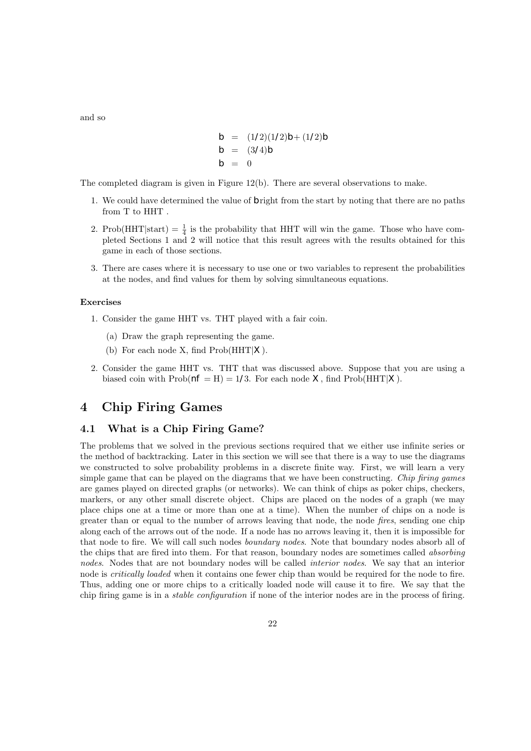and so

$$
b = (1/2)(1/2)b + (1/2)b
$$
  
\n
$$
b = (3/4)b
$$
  
\n
$$
b = 0
$$

The completed diagram is given in Figure 12(b). There are several observations to make.

- 1. We could have determined the value of  $b$  right from the start by noting that there are no paths from T to HHT .
- 2. Prob(HHT|start) =  $\frac{1}{4}$  is the probability that HHT will win the game. Those who have completed Sections 1 and 2 will notice that this result agrees with the results obtained for this game in each of those sections.
- 3. There are cases where it is necessary to use one or two variables to represent the probabilities at the nodes, and find values for them by solving simultaneous equations.

#### Exercises

- 1. Consider the game HHT vs. THT played with a fair coin.
	- (a) Draw the graph representing the game.
	- (b) For each node X, find  $\text{Prob}(HHT|X)$ .
- 2. Consider the game HHT vs. THT that was discussed above. Suppose that you are using a biased coin with  $\text{Prob}(n = H) = 1/3$ . For each node X, find  $\text{Prob}(HHT|X)$ .

### 4 Chip Firing Games

### 4.1 What is a Chip Firing Game?

The problems that we solved in the previous sections required that we either use infinite series or the method of backtracking. Later in this section we will see that there is a way to use the diagrams we constructed to solve probability problems in a discrete finite way. First, we will learn a very simple game that can be played on the diagrams that we have been constructing. Chip firing games are games played on directed graphs (or networks). We can think of chips as poker chips, checkers, markers, or any other small discrete object. Chips are placed on the nodes of a graph (we may place chips one at a time or more than one at a time). When the number of chips on a node is greater than or equal to the number of arrows leaving that node, the node fires, sending one chip along each of the arrows out of the node. If a node has no arrows leaving it, then it is impossible for that node to fire. We will call such nodes boundary nodes. Note that boundary nodes absorb all of the chips that are fired into them. For that reason, boundary nodes are sometimes called absorbing nodes. Nodes that are not boundary nodes will be called *interior nodes*. We say that an interior node is critically loaded when it contains one fewer chip than would be required for the node to fire. Thus, adding one or more chips to a critically loaded node will cause it to fire. We say that the chip firing game is in a stable configuration if none of the interior nodes are in the process of firing.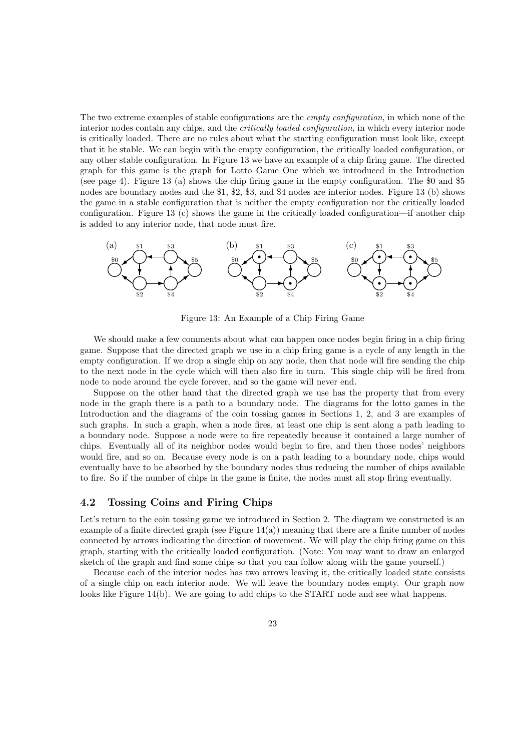The two extreme examples of stable configurations are the *empty configuration*, in which none of the interior nodes contain any chips, and the *critically loaded configuration*, in which every interior node is critically loaded. There are no rules about what the starting configuration must look like, except that it be stable. We can begin with the empty configuration, the critically loaded configuration, or any other stable configuration. In Figure 13 we have an example of a chip firing game. The directed graph for this game is the graph for Lotto Game One which we introduced in the Introduction (see page 4). Figure 13 (a) shows the chip firing game in the empty configuration. The \$0 and \$5 nodes are boundary nodes and the \$1, \$2, \$3, and \$4 nodes are interior nodes. Figure 13 (b) shows the game in a stable configuration that is neither the empty configuration nor the critically loaded configuration. Figure 13 (c) shows the game in the critically loaded configuration—if another chip is added to any interior node, that node must fire.



Figure 13: An Example of a Chip Firing Game

We should make a few comments about what can happen once nodes begin firing in a chip firing game. Suppose that the directed graph we use in a chip firing game is a cycle of any length in the empty configuration. If we drop a single chip on any node, then that node will fire sending the chip to the next node in the cycle which will then also fire in turn. This single chip will be fired from node to node around the cycle forever, and so the game will never end.

Suppose on the other hand that the directed graph we use has the property that from every node in the graph there is a path to a boundary node. The diagrams for the lotto games in the Introduction and the diagrams of the coin tossing games in Sections 1, 2, and 3 are examples of such graphs. In such a graph, when a node fires, at least one chip is sent along a path leading to a boundary node. Suppose a node were to fire repeatedly because it contained a large number of chips. Eventually all of its neighbor nodes would begin to fire, and then those nodes' neighbors would fire, and so on. Because every node is on a path leading to a boundary node, chips would eventually have to be absorbed by the boundary nodes thus reducing the number of chips available to fire. So if the number of chips in the game is finite, the nodes must all stop firing eventually.

### 4.2 Tossing Coins and Firing Chips

Let's return to the coin tossing game we introduced in Section 2. The diagram we constructed is an example of a finite directed graph (see Figure  $14(a)$ ) meaning that there are a finite number of nodes connected by arrows indicating the direction of movement. We will play the chip firing game on this graph, starting with the critically loaded configuration. (Note: You may want to draw an enlarged sketch of the graph and find some chips so that you can follow along with the game yourself.)

Because each of the interior nodes has two arrows leaving it, the critically loaded state consists of a single chip on each interior node. We will leave the boundary nodes empty. Our graph now looks like Figure 14(b). We are going to add chips to the START node and see what happens.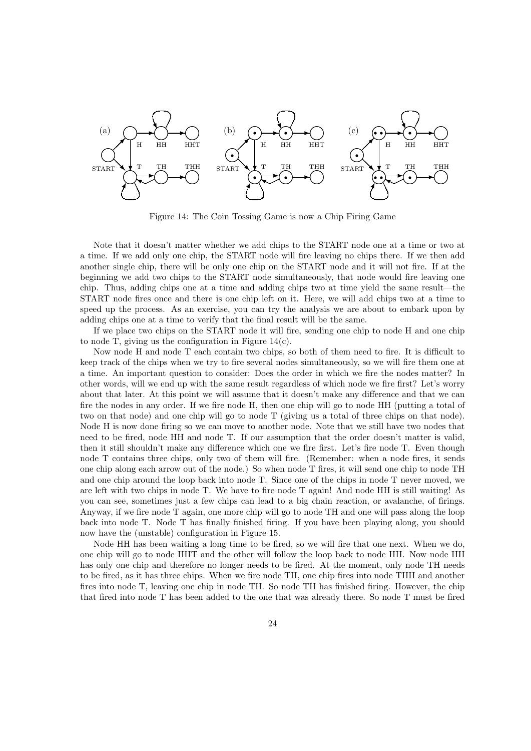

Figure 14: The Coin Tossing Game is now a Chip Firing Game

Note that it doesn't matter whether we add chips to the START node one at a time or two at a time. If we add only one chip, the START node will fire leaving no chips there. If we then add another single chip, there will be only one chip on the START node and it will not fire. If at the beginning we add two chips to the START node simultaneously, that node would fire leaving one chip. Thus, adding chips one at a time and adding chips two at time yield the same result—the START node fires once and there is one chip left on it. Here, we will add chips two at a time to speed up the process. As an exercise, you can try the analysis we are about to embark upon by adding chips one at a time to verify that the final result will be the same.

If we place two chips on the START node it will fire, sending one chip to node H and one chip to node T, giving us the configuration in Figure 14(c).

Now node H and node T each contain two chips, so both of them need to fire. It is difficult to keep track of the chips when we try to fire several nodes simultaneously, so we will fire them one at a time. An important question to consider: Does the order in which we fire the nodes matter? In other words, will we end up with the same result regardless of which node we fire first? Let's worry about that later. At this point we will assume that it doesn't make any difference and that we can fire the nodes in any order. If we fire node H, then one chip will go to node HH (putting a total of two on that node) and one chip will go to node T (giving us a total of three chips on that node). Node H is now done firing so we can move to another node. Note that we still have two nodes that need to be fired, node HH and node T. If our assumption that the order doesn't matter is valid, then it still shouldn't make any difference which one we fire first. Let's fire node T. Even though node T contains three chips, only two of them will fire. (Remember: when a node fires, it sends one chip along each arrow out of the node.) So when node T fires, it will send one chip to node TH and one chip around the loop back into node T. Since one of the chips in node T never moved, we are left with two chips in node T. We have to fire node T again! And node HH is still waiting! As you can see, sometimes just a few chips can lead to a big chain reaction, or avalanche, of firings. Anyway, if we fire node T again, one more chip will go to node TH and one will pass along the loop back into node T. Node T has finally finished firing. If you have been playing along, you should now have the (unstable) configuration in Figure 15.

Node HH has been waiting a long time to be fired, so we will fire that one next. When we do, one chip will go to node HHT and the other will follow the loop back to node HH. Now node HH has only one chip and therefore no longer needs to be fired. At the moment, only node TH needs to be fired, as it has three chips. When we fire node TH, one chip fires into node THH and another fires into node T, leaving one chip in node TH. So node TH has finished firing. However, the chip that fired into node T has been added to the one that was already there. So node T must be fired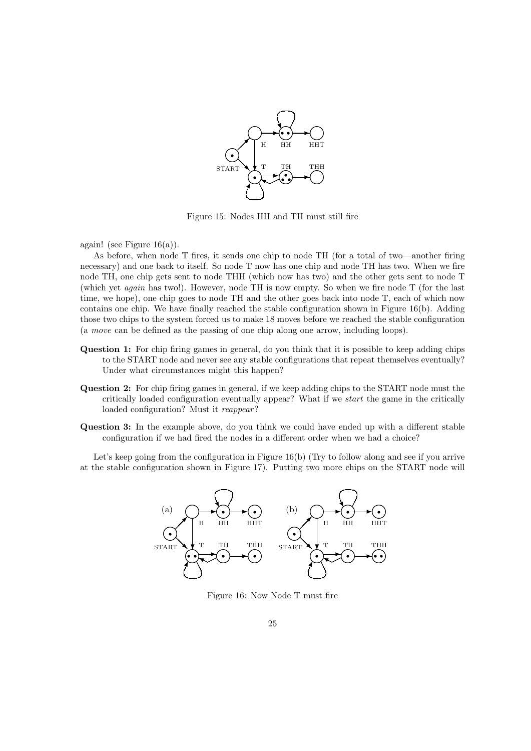

Figure 15: Nodes HH and TH must still fire

again! (see Figure  $16(a)$ ).

As before, when node T fires, it sends one chip to node TH (for a total of two—another firing necessary) and one back to itself. So node T now has one chip and node TH has two. When we fire node TH, one chip gets sent to node THH (which now has two) and the other gets sent to node T (which yet again has two!). However, node TH is now empty. So when we fire node T (for the last time, we hope), one chip goes to node TH and the other goes back into node T, each of which now contains one chip. We have finally reached the stable configuration shown in Figure 16(b). Adding those two chips to the system forced us to make 18 moves before we reached the stable configuration (a move can be defined as the passing of one chip along one arrow, including loops).

- Question 1: For chip firing games in general, do you think that it is possible to keep adding chips to the START node and never see any stable configurations that repeat themselves eventually? Under what circumstances might this happen?
- Question 2: For chip firing games in general, if we keep adding chips to the START node must the critically loaded configuration eventually appear? What if we start the game in the critically loaded configuration? Must it reappear?
- Question 3: In the example above, do you think we could have ended up with a different stable configuration if we had fired the nodes in a different order when we had a choice?

Let's keep going from the configuration in Figure 16(b) (Try to follow along and see if you arrive at the stable configuration shown in Figure 17). Putting two more chips on the START node will



Figure 16: Now Node T must fire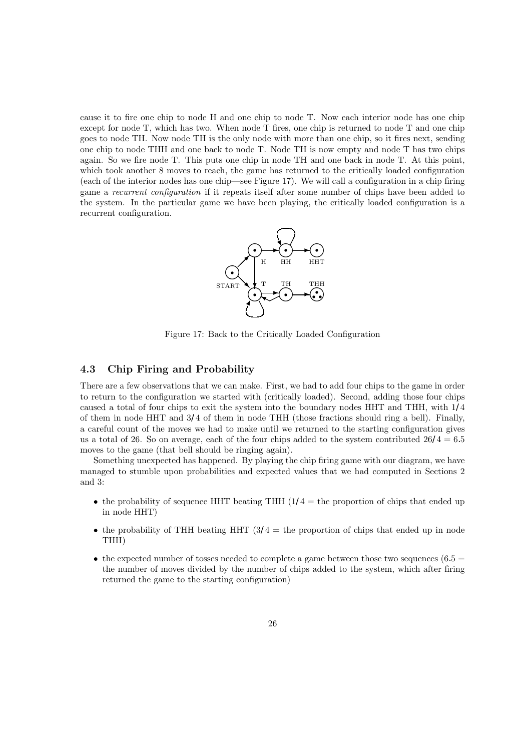cause it to fire one chip to node H and one chip to node T. Now each interior node has one chip except for node T, which has two. When node T fires, one chip is returned to node T and one chip goes to node TH. Now node TH is the only node with more than one chip, so it fires next, sending one chip to node THH and one back to node T. Node TH is now empty and node T has two chips again. So we fire node T. This puts one chip in node TH and one back in node T. At this point, which took another 8 moves to reach, the game has returned to the critically loaded configuration (each of the interior nodes has one chip—see Figure 17). We will call a configuration in a chip firing game a recurrent configuration if it repeats itself after some number of chips have been added to the system. In the particular game we have been playing, the critically loaded configuration is a recurrent configuration.



Figure 17: Back to the Critically Loaded Configuration

### 4.3 Chip Firing and Probability

There are a few observations that we can make. First, we had to add four chips to the game in order to return to the configuration we started with (critically loaded). Second, adding those four chips caused a total of four chips to exit the system into the boundary nodes HHT and THH, with 1/4 of them in node HHT and 3/4 of them in node THH (those fractions should ring a bell). Finally, a careful count of the moves we had to make until we returned to the starting configuration gives us a total of 26. So on average, each of the four chips added to the system contributed  $26/4 = 6.5$ moves to the game (that bell should be ringing again).

Something unexpected has happened. By playing the chip firing game with our diagram, we have managed to stumble upon probabilities and expected values that we had computed in Sections 2 and 3:

- the probability of sequence HHT beating THH  $(1/4 =$  the proportion of chips that ended up in node HHT)
- the probability of THH beating HHT  $(3/4 =$  the proportion of chips that ended up in node THH)
- the expected number of tosses needed to complete a game between those two sequences (6.5  $=$ the number of moves divided by the number of chips added to the system, which after firing returned the game to the starting configuration)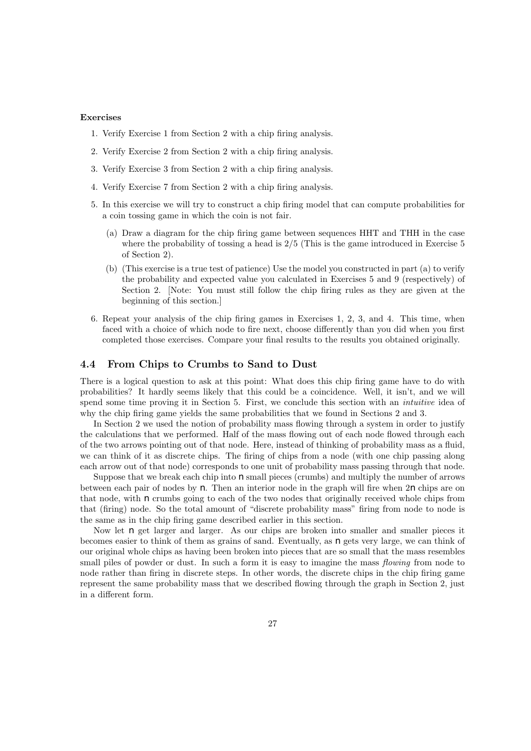#### Exercises

- 1. Verify Exercise 1 from Section 2 with a chip firing analysis.
- 2. Verify Exercise 2 from Section 2 with a chip firing analysis.
- 3. Verify Exercise 3 from Section 2 with a chip firing analysis.
- 4. Verify Exercise 7 from Section 2 with a chip firing analysis.
- 5. In this exercise we will try to construct a chip firing model that can compute probabilities for a coin tossing game in which the coin is not fair.
	- (a) Draw a diagram for the chip firing game between sequences HHT and THH in the case where the probability of tossing a head is  $2/5$  (This is the game introduced in Exercise 5) of Section 2).
	- (b) (This exercise is a true test of patience) Use the model you constructed in part (a) to verify the probability and expected value you calculated in Exercises 5 and 9 (respectively) of Section 2. [Note: You must still follow the chip firing rules as they are given at the beginning of this section.]
- 6. Repeat your analysis of the chip firing games in Exercises 1, 2, 3, and 4. This time, when faced with a choice of which node to fire next, choose differently than you did when you first completed those exercises. Compare your final results to the results you obtained originally.

### 4.4 From Chips to Crumbs to Sand to Dust

There is a logical question to ask at this point: What does this chip firing game have to do with probabilities? It hardly seems likely that this could be a coincidence. Well, it isn't, and we will spend some time proving it in Section 5. First, we conclude this section with an *intuitive* idea of why the chip firing game yields the same probabilities that we found in Sections 2 and 3.

In Section 2 we used the notion of probability mass flowing through a system in order to justify the calculations that we performed. Half of the mass flowing out of each node flowed through each of the two arrows pointing out of that node. Here, instead of thinking of probability mass as a fluid, we can think of it as discrete chips. The firing of chips from a node (with one chip passing along each arrow out of that node) corresponds to one unit of probability mass passing through that node.

Suppose that we break each chip into  $n$  small pieces (crumbs) and multiply the number of arrows between each pair of nodes by  $n$ . Then an interior node in the graph will fire when  $2n$  chips are on that node, with  $n$  crumbs going to each of the two nodes that originally received whole chips from that (firing) node. So the total amount of "discrete probability mass" firing from node to node is the same as in the chip firing game described earlier in this section.

Now let  $n$  get larger and larger. As our chips are broken into smaller and smaller pieces it becomes easier to think of them as grains of sand. Eventually, as  $n$  gets very large, we can think of our original whole chips as having been broken into pieces that are so small that the mass resembles small piles of powder or dust. In such a form it is easy to imagine the mass *flowing* from node to node rather than firing in discrete steps. In other words, the discrete chips in the chip firing game represent the same probability mass that we described flowing through the graph in Section 2, just in a different form.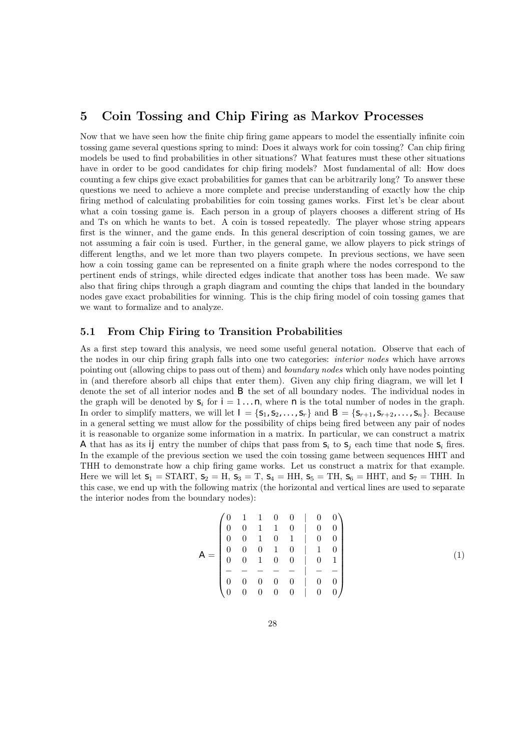### 5 Coin Tossing and Chip Firing as Markov Processes

Now that we have seen how the finite chip firing game appears to model the essentially infinite coin tossing game several questions spring to mind: Does it always work for coin tossing? Can chip firing models be used to find probabilities in other situations? What features must these other situations have in order to be good candidates for chip firing models? Most fundamental of all: How does counting a few chips give exact probabilities for games that can be arbitrarily long? To answer these questions we need to achieve a more complete and precise understanding of exactly how the chip firing method of calculating probabilities for coin tossing games works. First let's be clear about what a coin tossing game is. Each person in a group of players chooses a different string of Hs and Ts on which he wants to bet. A coin is tossed repeatedly. The player whose string appears first is the winner, and the game ends. In this general description of coin tossing games, we are not assuming a fair coin is used. Further, in the general game, we allow players to pick strings of different lengths, and we let more than two players compete. In previous sections, we have seen how a coin tossing game can be represented on a finite graph where the nodes correspond to the pertinent ends of strings, while directed edges indicate that another toss has been made. We saw also that firing chips through a graph diagram and counting the chips that landed in the boundary nodes gave exact probabilities for winning. This is the chip firing model of coin tossing games that we want to formalize and to analyze.

### 5.1 From Chip Firing to Transition Probabilities

As a first step toward this analysis, we need some useful general notation. Observe that each of the nodes in our chip firing graph falls into one two categories: interior nodes which have arrows pointing out (allowing chips to pass out of them) and boundary nodes which only have nodes pointing in (and therefore absorb all chips that enter them). Given any chip firing diagram, we will let  $I$ denote the set of all interior nodes and B the set of all boundary nodes. The individual nodes in the graph will be denoted by  $s_i$  for  $i = 1 \ldots n$ , where n is the total number of nodes in the graph. In order to simplify matters, we will let  $I = \{S_1, S_2, \ldots, S_r\}$  and  $B = \{S_{r+1}, S_{r+2}, \ldots, S_n\}$ . Because in a general setting we must allow for the possibility of chips being fired between any pair of nodes it is reasonable to organize some information in a matrix. In particular, we can construct a matrix A that has as its ij entry the number of chips that pass from  $s_i$  to  $s_j$  each time that node  $s_i$  fires. In the example of the previous section we used the coin tossing game between sequences HHT and THH to demonstrate how a chip firing game works. Let us construct a matrix for that example. Here we will let  $s_1 = \text{START}, s_2 = \text{H}, s_3 = \text{T}, s_4 = \text{HH}, s_5 = \text{TH}, s_6 = \text{HHT}, \text{ and } s_7 = \text{THH}.$  In this case, we end up with the following matrix (the horizontal and vertical lines are used to separate the interior nodes from the boundary nodes):

$$
A = \begin{pmatrix} 0 & 1 & 1 & 0 & 0 & | & 0 & 0 \\ 0 & 0 & 1 & 1 & 0 & | & 0 & 0 \\ 0 & 0 & 1 & 0 & 1 & | & 0 & 0 \\ 0 & 0 & 0 & 1 & 0 & | & 1 & 0 \\ 0 & 0 & 1 & 0 & 0 & | & 0 & 1 \\ - & - & - & - & - & | & - & - \\ 0 & 0 & 0 & 0 & 0 & | & 0 & 0 \\ 0 & 0 & 0 & 0 & 0 & | & 0 & 0 \end{pmatrix}
$$
(1)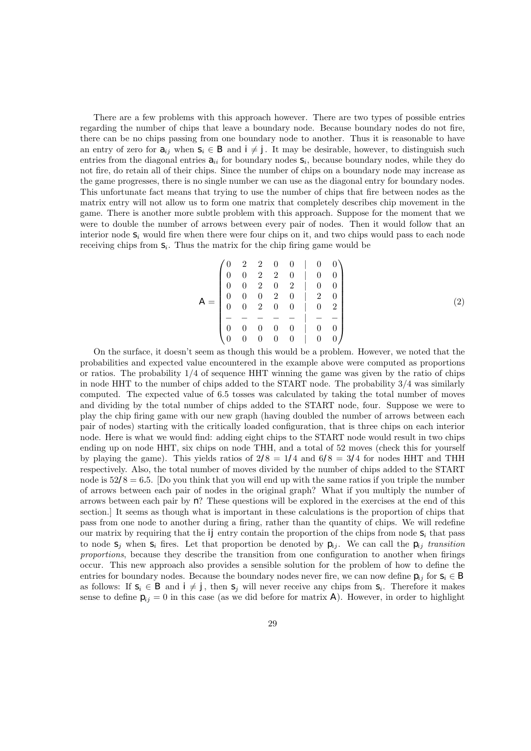There are a few problems with this approach however. There are two types of possible entries regarding the number of chips that leave a boundary node. Because boundary nodes do not fire, there can be no chips passing from one boundary node to another. Thus it is reasonable to have an entry of zero for  $a_{ij}$  when  $s_i \in B$  and  $i \neq j$ . It may be desirable, however, to distinguish such entries from the diagonal entries  $a_{ii}$  for boundary nodes  $s_i$ , because boundary nodes, while they do not fire, do retain all of their chips. Since the number of chips on a boundary node may increase as the game progresses, there is no single number we can use as the diagonal entry for boundary nodes. This unfortunate fact means that trying to use the number of chips that fire between nodes as the matrix entry will not allow us to form one matrix that completely describes chip movement in the game. There is another more subtle problem with this approach. Suppose for the moment that we were to double the number of arrows between every pair of nodes. Then it would follow that an interior node  $s_i$  would fire when there were four chips on it, and two chips would pass to each node receiving chips from  $S_i$ . Thus the matrix for the chip firing game would be

$$
A = \begin{pmatrix} 0 & 2 & 2 & 0 & 0 & | & 0 & 0 \\ 0 & 0 & 2 & 2 & 0 & | & 0 & 0 \\ 0 & 0 & 2 & 0 & 2 & | & 0 & 0 \\ 0 & 0 & 0 & 2 & 0 & | & 2 & 0 \\ 0 & 0 & 2 & 0 & 0 & | & 0 & 2 \\ - & - & - & - & - & | & - & - \\ 0 & 0 & 0 & 0 & 0 & | & 0 & 0 \end{pmatrix}
$$
(2)

On the surface, it doesn't seem as though this would be a problem. However, we noted that the probabilities and expected value encountered in the example above were computed as proportions or ratios. The probability  $1/4$  of sequence HHT winning the game was given by the ratio of chips in node HHT to the number of chips added to the START node. The probability 3/4 was similarly computed. The expected value of 6.5 tosses was calculated by taking the total number of moves and dividing by the total number of chips added to the START node, four. Suppose we were to play the chip firing game with our new graph (having doubled the number of arrows between each pair of nodes) starting with the critically loaded configuration, that is three chips on each interior node. Here is what we would find: adding eight chips to the START node would result in two chips ending up on node HHT, six chips on node THH, and a total of 52 moves (check this for yourself by playing the game). This yields ratios of  $2/8 = 1/4$  and  $6/8 = 3/4$  for nodes HHT and THH respectively. Also, the total number of moves divided by the number of chips added to the START node is  $52/8 = 6.5$ . [Do you think that you will end up with the same ratios if you triple the number of arrows between each pair of nodes in the original graph? What if you multiply the number of arrows between each pair by  $n$ ? These questions will be explored in the exercises at the end of this section.] It seems as though what is important in these calculations is the proportion of chips that pass from one node to another during a firing, rather than the quantity of chips. We will redefine our matrix by requiring that the  $ij$  entry contain the proportion of the chips from node  $S_i$  that pass to node  $S_i$  when  $S_i$  fires. Let that proportion be denoted by  $p_{ij}$ . We can call the  $p_{ij}$  transition proportions, because they describe the transition from one configuration to another when firings occur. This new approach also provides a sensible solution for the problem of how to define the entries for boundary nodes. Because the boundary nodes never fire, we can now define  $p_{ij}$  for  $s_i \in B$ as follows: If  $s_i \in B$  and  $i \neq j$ , then  $s_j$  will never receive any chips from  $s_i$ . Therefore it makes sense to define  $p_{ij} = 0$  in this case (as we did before for matrix A). However, in order to highlight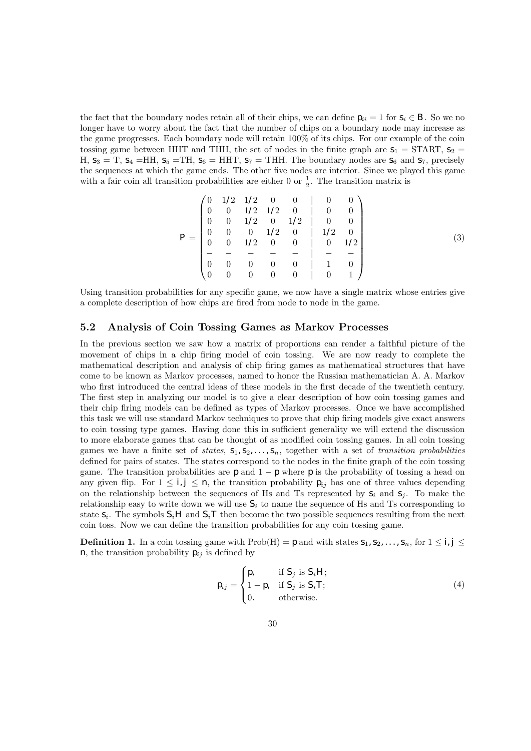the fact that the boundary nodes retain all of their chips, we can define  $p_{ii} = 1$  for  $S_i \in B$ . So we no longer have to worry about the fact that the number of chips on a boundary node may increase as the game progresses. Each boundary node will retain 100% of its chips. For our example of the coin tossing game between HHT and THH, the set of nodes in the finite graph are  $S_1 = \text{START}, S_2 =$ H,  $s_3 = T$ ,  $s_4 = HH$ ,  $s_5 = TH$ ,  $s_6 = HHT$ ,  $s_7 = THH$ . The boundary nodes are  $s_6$  and  $s_7$ , precisely the sequences at which the game ends. The other five nodes are interior. Since we played this game with a fair coin all transition probabilities are either 0 or  $\frac{1}{2}$ . The transition matrix is

$$
P = \begin{pmatrix} 0 & 1/2 & 1/2 & 0 & 0 & | & 0 & 0 \\ 0 & 0 & 1/2 & 1/2 & 0 & | & 0 & 0 \\ 0 & 0 & 1/2 & 0 & 1/2 & | & 0 & 0 \\ 0 & 0 & 0 & 1/2 & 0 & | & 1/2 & 0 \\ 0 & 0 & 1/2 & 0 & 0 & | & 0 & 1/2 \\ - & - & - & - & - & | & - & - \\ 0 & 0 & 0 & 0 & 0 & | & 1 & 0 \\ 0 & 0 & 0 & 0 & 0 & | & 0 & 1 \end{pmatrix}
$$
(3)

Using transition probabilities for any specific game, we now have a single matrix whose entries give a complete description of how chips are fired from node to node in the game.

### 5.2 Analysis of Coin Tossing Games as Markov Processes

In the previous section we saw how a matrix of proportions can render a faithful picture of the movement of chips in a chip firing model of coin tossing. We are now ready to complete the mathematical description and analysis of chip firing games as mathematical structures that have come to be known as Markov processes, named to honor the Russian mathematician A. A. Markov who first introduced the central ideas of these models in the first decade of the twentieth century. The first step in analyzing our model is to give a clear description of how coin tossing games and their chip firing models can be defined as types of Markov processes. Once we have accomplished this task we will use standard Markov techniques to prove that chip firing models give exact answers to coin tossing type games. Having done this in sufficient generality we will extend the discussion to more elaborate games that can be thought of as modified coin tossing games. In all coin tossing games we have a finite set of states,  $S_1, S_2, \ldots, S_n$ , together with a set of transition probabilities defined for pairs of states. The states correspond to the nodes in the finite graph of the coin tossing game. The transition probabilities are  $p$  and  $1 - p$  where p is the probability of tossing a head on any given flip. For  $1 \le i, j \le n$ , the transition probability  $p_{ij}$  has one of three values depending on the relationship between the sequences of Hs and Ts represented by  $S_i$  and  $S_j$ . To make the relationship easy to write down we will use  $S_i$  to name the sequence of Hs and Ts corresponding to state  $s_i$ . The symbols  $S_iH$  and  $S_iT$  then become the two possible sequences resulting from the next coin toss. Now we can define the transition probabilities for any coin tossing game.

**Definition 1.** In a coin tossing game with Prob(H) = p and with states  $S_1, S_2, \ldots, S_n$ , for  $1 \le i, j \le n$ n, the transition probability  $p_{ij}$  is defined by

$$
p_{ij} = \begin{cases} p, & \text{if } S_j \text{ is } S_i H; \\ 1 - p, & \text{if } S_j \text{ is } S_i T; \\ 0. & \text{otherwise.} \end{cases}
$$
 (4)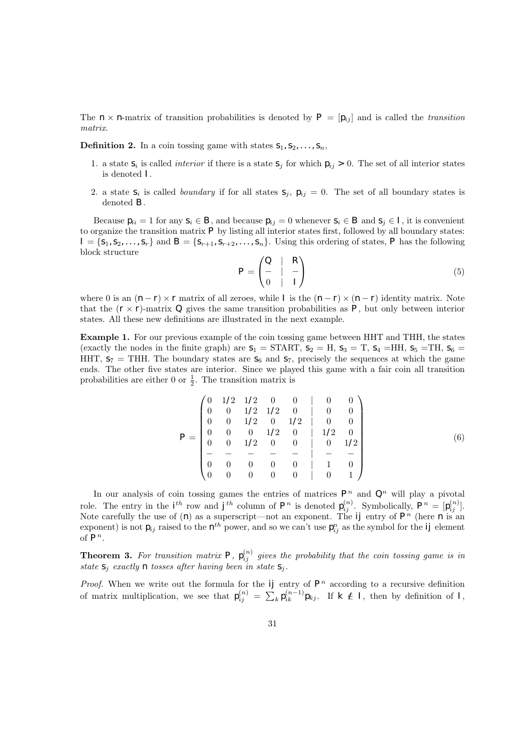The  $n \times n$ -matrix of transition probabilities is denoted by  $P = [p_{ij}]$  and is called the transition matrix.

**Definition 2.** In a coin tossing game with states  $S_1, S_2, \ldots, S_n$ ,

- 1. a state  $S_i$  is called *interior* if there is a state  $S_j$  for which  $p_{ij} > 0$ . The set of all interior states is denoted I.
- 2. a state  $S_i$  is called *boundary* if for all states  $S_j$ ,  $p_{ij} = 0$ . The set of all boundary states is denoted B.

Because  $p_{ii} = 1$  for any  $s_i \in B$ , and because  $p_{ij} = 0$  whenever  $s_i \in B$  and  $s_j \in I$ , it is convenient to organize the transition matrix  $P$  by listing all interior states first, followed by all boundary states:  $I = \{S_1, S_2, \ldots, S_r\}$  and  $B = \{S_{r+1}, S_{r+2}, \ldots, S_n\}$ . Using this ordering of states, P has the following block structure

$$
P = \begin{pmatrix} Q & | & R \\ - & | & - \\ 0 & | & I \end{pmatrix} \tag{5}
$$

where 0 is an  $(n - r) \times r$  matrix of all zeroes, while I is the  $(n - r) \times (n - r)$  identity matrix. Note that the  $(r \times r)$ -matrix  $Q$  gives the same transition probabilities as  $P$ , but only between interior states. All these new definitions are illustrated in the next example.

Example 1. For our previous example of the coin tossing game between HHT and THH, the states (exactly the nodes in the finite graph) are  $s_1 = \text{START}, s_2 = \text{H}, s_3 = \text{T}, s_4 = \text{HH}, s_5 = \text{TH}, s_6 = \text{TH}$ HHT,  $S_7$  = THH. The boundary states are  $S_6$  and  $S_7$ , precisely the sequences at which the game ends. The other five states are interior. Since we played this game with a fair coin all transition probabilities are either 0 or  $\frac{1}{2}$ . The transition matrix is

$$
P = \begin{pmatrix} 0 & 1/2 & 1/2 & 0 & 0 & | & 0 & 0 \\ 0 & 0 & 1/2 & 1/2 & 0 & | & 0 & 0 \\ 0 & 0 & 1/2 & 0 & 1/2 & | & 0 & 0 \\ 0 & 0 & 0 & 1/2 & 0 & | & 1/2 & 0 \\ 0 & 0 & 1/2 & 0 & 0 & | & 0 & 1/2 \\ - & - & - & - & - & | & - & - \\ 0 & 0 & 0 & 0 & 0 & | & 1 & 0 \\ 0 & 0 & 0 & 0 & 0 & | & 0 & 1 \end{pmatrix}
$$
(6)

In our analysis of coin tossing games the entries of matrices  $P<sup>n</sup>$  and  $Q<sup>n</sup>$  will play a pivotal role. The entry in the  $i^{th}$  row and  $j^{th}$  column of  $P^n$  is denoted  $p_{ij}^{(n)}$ . Symbolically,  $P^n = [p_{ij}^{(n)}]$ . Note carefully the use of (n) as a superscript—not an exponent. The *ij* entry of  $P^n$  (here n is an exponent) is not  $p_{ij}$  raised to the  $\eta^{th}$  power, and so we can't use  $p_{ij}^n$  as the symbol for the *ij* element of  $P^n$ .

**Theorem 3.** For transition matrix P,  $p_{ij}^{(n)}$  gives the probability that the coin tossing game is in state  $S_j$  exactly n tosses after having been in state  $S_j$ .

*Proof.* When we write out the formula for the  $ij$  entry of  $P<sup>n</sup>$  according to a recursive definition of matrix multiplication, we see that  $p_{ij}^{(n)} = \sum_k p_{ik}^{(n-1)} p_{kj}$ . If  $k \notin I$ , then by definition of I,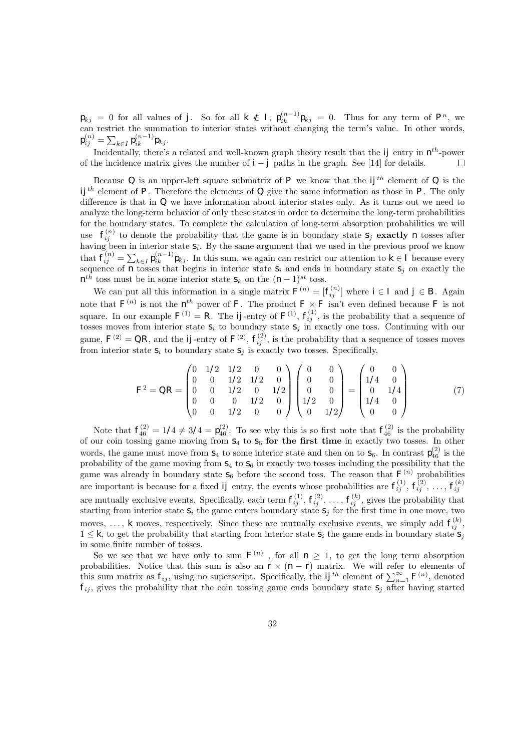$p_{kj} = 0$  for all values of j. So for all  $k \notin I$ ,  $p_{ik}^{(n-1)}p_{kj} = 0$ . Thus for any term of  $P^n$ , we can restrict the summation to interior states without changing the term's value. In other words,  $\rho_{ij}^{(n)} = \sum_{k\in I} \rho_{ik}^{(n-1)}\rho_{kj}.$ 

Incidentally, there's a related and well-known graph theory result that the  $ij$  entry in  $\mathcal{D}^{th}$ -power of the incidence matrix gives the number of  $i - j$  paths in the graph. See [14] for details.  $\Box$ 

Because  $Q$  is an upper-left square submatrix of P we know that the  $ij<sup>th</sup>$  element of Q is the  $ij<sup>th</sup>$  element of P. Therefore the elements of Q give the same information as those in P. The only difference is that in Q we have information about interior states only. As it turns out we need to analyze the long-term behavior of only these states in order to determine the long-term probabilities for the boundary states. To complete the calculation of long-term absorption probabilities we will use  $f_{ij}^{(n)}$  to denote the probability that the game is in boundary state  $s_j$  exactly n tosses after having been in interior state  $s_i$ . By the same argument that we used in the previous proof we know that  $f_{ij}^{(n)} = \sum_{k \in I} p_{ik}^{(n-1)} p_{kj}$ . In this sum, we again can restrict our attention to  $k \in I$  because every sequence of  $n$  tosses that begins in interior state  $s_i$  and ends in boundary state  $s_j$  on exactly the  $n^{th}$  toss must be in some interior state  $S_k$  on the  $(n-1)^{st}$  toss.

We can put all this information in a single matrix  $F^{(n)} = [f_{ij}^{(n)}]$  where  $i \in I$  and  $j \in B$ . Again note that  $F^{(n)}$  is not the  $n^{th}$  power of F. The product  $F \times F$  isn't even defined because F is not square. In our example  $F^{(1)} = R$ . The *ij*-entry of  $F^{(1)}$ ,  $f_{ij}^{(1)}$ , is the probability that a sequence of tosses moves from interior state  $s_i$  to boundary state  $s_j$  in exactly one toss. Continuing with our game,  $F^{(2)} = QR$ , and the *ij*-entry of  $F^{(2)}$ ,  $f_{ij}^{(2)}$ , is the probability that a sequence of tosses moves from interior state  $S_i$  to boundary state  $S_j$  is exactly two tosses. Specifically,

$$
F^2 = QR = \begin{pmatrix} 0 & 1/2 & 1/2 & 0 & 0 \\ 0 & 0 & 1/2 & 1/2 & 0 \\ 0 & 0 & 1/2 & 0 & 1/2 \\ 0 & 0 & 0 & 1/2 & 0 \\ 0 & 0 & 1/2 & 0 & 0 \end{pmatrix} \begin{pmatrix} 0 & 0 \\ 0 & 0 \\ 0 & 0 \\ 1/2 & 0 \\ 0 & 1/2 \end{pmatrix} = \begin{pmatrix} 0 & 0 \\ 1/4 & 0 \\ 0 & 1/4 \\ 1/4 & 0 \\ 0 & 0 \end{pmatrix}
$$
(7)

Note that  $f_{46}^{(2)} = 1/4 \neq 3/4 = \rho_{46}^{(2)}$ . To see why this is so first note that  $f_{46}^{(2)}$  is the probability of our coin tossing game moving from  $s_4$  to  $s_6$  for the first time in exactly two tosses. In other words, the game must move from  $S_4$  to some interior state and then on to  $S_6$ . In contrast  $\rho_{46}^{(2)}$  is the probability of the game moving from  $S_4$  to  $S_6$  in exactly two tosses including the possibility that the game was already in boundary state  $s_6$  before the second toss. The reason that  $F^{(n)}$  probabilities are important is because for a fixed *ij* entry, the events whose probabilities are  $f_{ij}^{(1)}$ ,  $f_{ij}^{(2)}$ , ...,  $f_{ij}^{(k)}$ are mutually exclusive events. Specifically, each term  $f_{ij}^{(1)}$ ,  $f_{ij}^{(2)}$ , ...,  $f_{ij}^{(k)}$ , gives the probability that starting from interior state  $S_i$  the game enters boundary state  $S_j$  for the first time in one move, two moves, ..., k moves, respectively. Since these are mutually exclusive events, we simply add  $f_{ij}^{(k)}$ ,  $1 \leq k$ , to get the probability that starting from interior state  $s_i$  the game ends in boundary state  $s_i$ in some finite number of tosses.

So we see that we have only to sum  $F^{(n)}$ , for all  $n \geq 1$ , to get the long term absorption probabilities. Notice that this sum is also an  $r \times (n - r)$  matrix. We will refer to elements of this sum matrix as  $f_{ij}$ , using no superscript. Specifically, the  $ij^{th}$  element of  $\sum_{n=1}^{\infty} F^{(n)}$ , denoted  $f_{ij}$ , gives the probability that the coin tossing game ends boundary state  $s_j$  after having started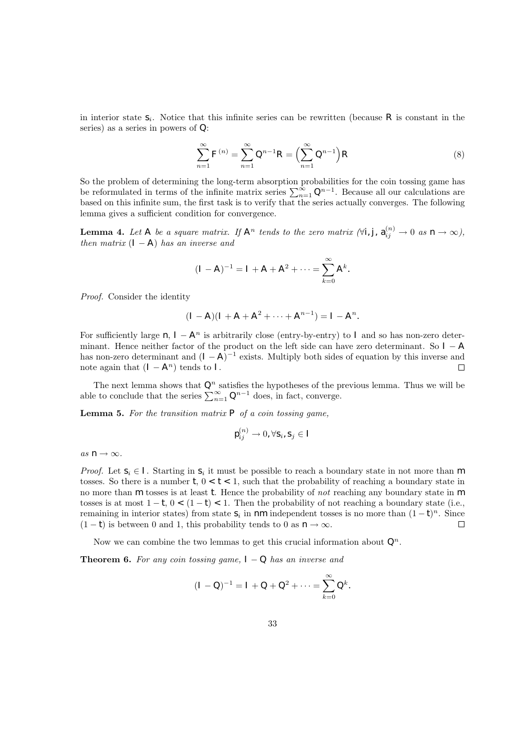in interior state  $S_i$ . Notice that this infinite series can be rewritten (because R is constant in the series) as a series in powers of Q:

$$
\sum_{n=1}^{\infty} F^{(n)} = \sum_{n=1}^{\infty} Q^{n-1} R = \left( \sum_{n=1}^{\infty} Q^{n-1} \right) R
$$
 (8)

So the problem of determining the long-term absorption probabilities for the coin tossing game has be reformulated in terms of the infinite matrix series  $\sum_{n=1}^{\infty} Q^{n-1}$ . Because all our calculations are based on this infinite sum, the first task is to verify that the series actually converges. The following lemma gives a sufficient condition for convergence.

**Lemma 4.** Let A be a square matrix. If  $A^n$  tends to the zero matrix  $(\forall i, j, a_{ij}^{(n)} \to 0$  as  $n \to \infty)$ , then matrix  $(I - A)$  has an inverse and

$$
(I - A)^{-1} = I + A + A^2 + \dots = \sum_{k=0}^{\infty} A^k.
$$

Proof. Consider the identity

$$
(I - A)(I + A + A2 + \cdots + An-1) = I - An.
$$

For sufficiently large  $n, I - A<sup>n</sup>$  is arbitrarily close (entry-by-entry) to I and so has non-zero determinant. Hence neither factor of the product on the left side can have zero determinant. So  $I - A$ has non-zero determinant and  $(I - A)^{-1}$  exists. Multiply both sides of equation by this inverse and note again that  $(I - A^n)$  tends to I.  $\Box$ 

The next lemma shows that  $Q^n$  satisfies the hypotheses of the previous lemma. Thus we will be able to conclude that the series  $\sum_{n=1}^{\infty} Q^{n-1}$  does, in fact, converge.

**Lemma 5.** For the transition matrix  $P$  of a coin tossing game,

$$
\mathbf{p}_{ij}^{(n)} \rightarrow 0, \forall \mathbf{s}_i, \mathbf{s}_j \in I
$$

as  $n \to \infty$ .

*Proof.* Let  $s_i \in I$ . Starting in  $s_i$  it must be possible to reach a boundary state in not more than m tosses. So there is a number  $t, 0 < t < 1$ , such that the probability of reaching a boundary state in no more than  $m$  tosses is at least t. Hence the probability of not reaching any boundary state in  $m$ tosses is at most  $1 - t$ ,  $0 < (1 - t) < 1$ . Then the probability of not reaching a boundary state (i.e., remaining in interior states) from state  $S_i$  in  $n m$  independent tosses is no more than  $(1-t)^n$ . Since  $(1 - t)$  is between 0 and 1, this probability tends to 0 as  $n \rightarrow \infty$ .  $\Box$ 

Now we can combine the two lemmas to get this crucial information about  $Q^n$ .

**Theorem 6.** For any coin tossing game,  $I - Q$  has an inverse and

$$
(I - Q)^{-1} = I + Q + Q^2 + \dots = \sum_{k=0}^{\infty} Q^k.
$$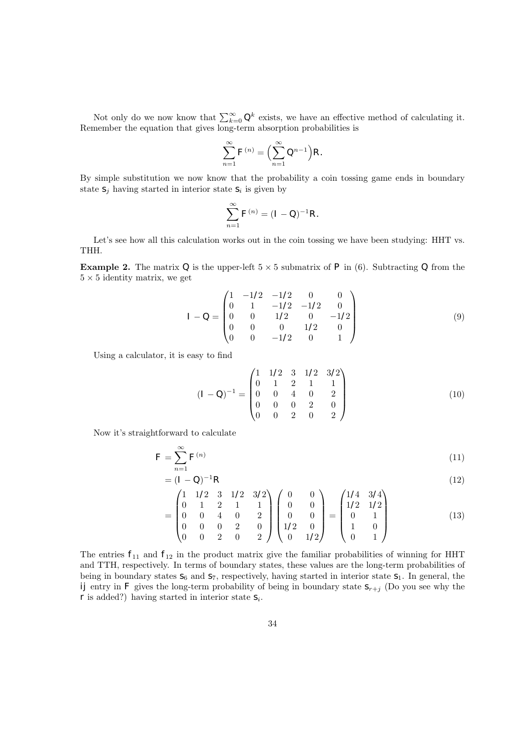Not only do we now know that  $\sum_{k=0}^{\infty} Q^k$  exists, we have an effective method of calculating it. Remember the equation that gives long-term absorption probabilities is

$$
\sum_{n=1}^{\infty} F^{(n)} = \left(\sum_{n=1}^{\infty} Q^{n-1}\right) R.
$$

By simple substitution we now know that the probability a coin tossing game ends in boundary state  $S_j$  having started in interior state  $S_i$  is given by

$$
\sum_{n=1}^{\infty} F^{(n)} = (I - Q)^{-1} R.
$$

Let's see how all this calculation works out in the coin tossing we have been studying: HHT vs. THH.

**Example 2.** The matrix Q is the upper-left  $5 \times 5$  submatrix of P in (6). Subtracting Q from the  $5 \times 5$  identity matrix, we get

$$
I - Q = \begin{pmatrix} 1 & -1/2 & -1/2 & 0 & 0 \\ 0 & 1 & -1/2 & -1/2 & 0 \\ 0 & 0 & 1/2 & 0 & -1/2 \\ 0 & 0 & 0 & 1/2 & 0 \\ 0 & 0 & -1/2 & 0 & 1 \end{pmatrix}
$$
(9)

Using a calculator, it is easy to find

$$
(I - Q)^{-1} = \begin{pmatrix} 1 & 1/2 & 3 & 1/2 & 3/2 \\ 0 & 1 & 2 & 1 & 1 \\ 0 & 0 & 4 & 0 & 2 \\ 0 & 0 & 0 & 2 & 0 \\ 0 & 0 & 2 & 0 & 2 \end{pmatrix}
$$
(10)

Now it's straightforward to calculate

$$
F = \sum_{n=1}^{\infty} F^{(n)} \tag{11}
$$

$$
= (I - Q)^{-1}R
$$
 (12)

$$
= \begin{pmatrix} 1 & 1/2 & 3 & 1/2 & 3/2 \\ 0 & 1 & 2 & 1 & 1 \\ 0 & 0 & 4 & 0 & 2 \\ 0 & 0 & 0 & 2 & 0 \\ 0 & 0 & 2 & 0 & 2 \end{pmatrix} \begin{pmatrix} 0 & 0 \\ 0 & 0 \\ 0 & 0 \\ 1/2 & 0 \\ 0 & 1/2 \end{pmatrix} = \begin{pmatrix} 1/4 & 3/4 \\ 1/2 & 1/2 \\ 0 & 1 \\ 1 & 0 \\ 0 & 1 \end{pmatrix}
$$
(13)

The entries  $f_{11}$  and  $f_{12}$  in the product matrix give the familiar probabilities of winning for HHT and TTH, respectively. In terms of boundary states, these values are the long-term probabilities of being in boundary states  $S_6$  and  $S_7$ , respectively, having started in interior state  $S_1$ . In general, the ij entry in F gives the long-term probability of being in boundary state  $S_{r+j}$  (Do you see why the  $r$  is added?) having started in interior state  $s_i$ .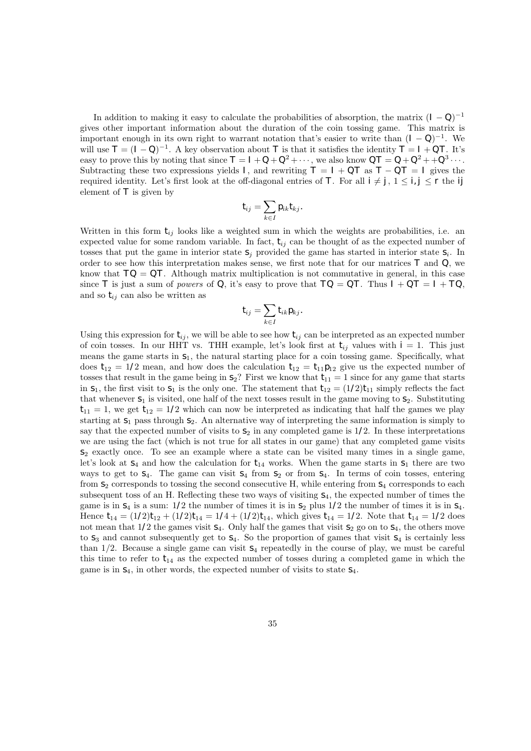In addition to making it easy to calculate the probabilities of absorption, the matrix  $(I - Q)^{-1}$ gives other important information about the duration of the coin tossing game. This matrix is important enough in its own right to warrant notation that's easier to write than  $(I - Q)^{-1}$ . We will use  $T = (I - Q)^{-1}$ . A key observation about T is that it satisfies the identity  $T = I + QT$ . It's easy to prove this by noting that since  $T = I + Q + Q^2 + \cdots$ , we also know  $QT = Q + Q^2 + Q^3 \cdots$ . Subtracting these two expressions yields I, and rewriting  $T = I + QT$  as  $T - QT = I$  gives the required identity. Let's first look at the off-diagonal entries of T. For all  $i \neq j$ ,  $1 \leq i, j \leq r$  the ij element of  $\bar{T}$  is given by

$$
t_{ij}=\sum_{k\in I}p_{ik}t_{kj}.
$$

Written in this form  $t_{ij}$  looks like a weighted sum in which the weights are probabilities, i.e. an expected value for some random variable. In fact,  $t_{ij}$  can be thought of as the expected number of tosses that put the game in interior state  $S_j$  provided the game has started in interior state  $S_i$ . In order to see how this interpretation makes sense, we first note that for our matrices  $T$  and  $Q$ , we know that  $TO = QT$ . Although matrix multiplication is not commutative in general, in this case since T is just a sum of powers of Q, it's easy to prove that  $TO = QT$ . Thus  $I + QT = I + TO$ , and so  $t_{ij}$  can also be written as

$$
t_{ij} = \sum_{k \in I} t_{ik} \rho_{kj}.
$$

Using this expression for  $t_{ij}$ , we will be able to see how  $t_{ij}$  can be interpreted as an expected number of coin tosses. In our HHT vs. THH example, let's look first at  $t_{ij}$  values with  $i = 1$ . This just means the game starts in  $S_1$ , the natural starting place for a coin tossing game. Specifically, what does  $t_{12} = 1/2$  mean, and how does the calculation  $t_{12} = t_{11}p_{12}$  give us the expected number of tosses that result in the game being in  $S_2$ ? First we know that  $t_{11} = 1$  since for any game that starts in  $S_1$ , the first visit to  $S_1$  is the only one. The statement that  $t_{12} = (1/2)t_{11}$  simply reflects the fact that whenever  $S_1$  is visited, one half of the next tosses result in the game moving to  $S_2$ . Substituting  $t_{11} = 1$ , we get  $t_{12} = 1/2$  which can now be interpreted as indicating that half the games we play starting at  $S_1$  pass through  $S_2$ . An alternative way of interpreting the same information is simply to say that the expected number of visits to  $S_2$  in any completed game is  $1/2$ . In these interpretations we are using the fact (which is not true for all states in our game) that any completed game visits  $s_2$  exactly once. To see an example where a state can be visited many times in a single game, let's look at  $S_4$  and how the calculation for  $t_{14}$  works. When the game starts in  $S_1$  there are two ways to get to  $S_4$ . The game can visit  $S_4$  from  $S_2$  or from  $S_4$ . In terms of coin tosses, entering from  $S_2$  corresponds to tossing the second consecutive H, while entering from  $S_4$  corresponds to each subsequent toss of an H. Reflecting these two ways of visiting  $S_4$ , the expected number of times the game is in  $S_4$  is a sum:  $1/2$  the number of times it is in  $S_2$  plus  $1/2$  the number of times it is in  $S_4$ . Hence  $t_{14} = (1/2)t_{12} + (1/2)t_{14} = 1/4 + (1/2)t_{14}$ , which gives  $t_{14} = 1/2$ . Note that  $t_{14} = 1/2$  does not mean that  $1/2$  the games visit  $S_4$ . Only half the games that visit  $S_2$  go on to  $S_4$ , the others move to  $s_3$  and cannot subsequently get to  $s_4$ . So the proportion of games that visit  $s_4$  is certainly less than  $1/2$ . Because a single game can visit  $s_4$  repeatedly in the course of play, we must be careful this time to refer to  $t_{14}$  as the expected number of tosses during a completed game in which the game is in  $S_4$ , in other words, the expected number of visits to state  $S_4$ .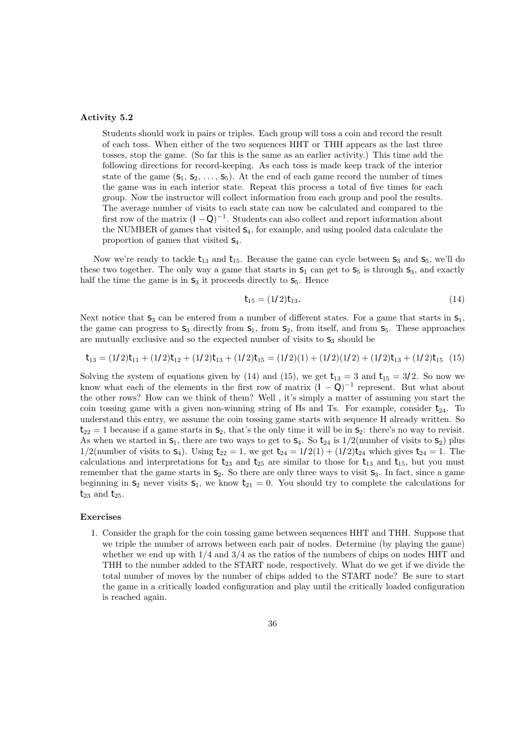### Activity 5.2

Students should work in pairs or triples. Each group will toss a coin and record the result of each toss. When either of the two sequences HHT or THH appears as the last three tosses, stop the game. (So far this is the same as an earlier activity.) This time add the following directions for record-keeping. As each toss is made keep track of the interior state of the game  $(s_1, s_2, \ldots, s_5)$ . At the end of each game record the number of times the game was in each interior state. Repeat this process a total of five times for each group. Now the instructor will collect information from each group and pool the results. The average number of visits to each state can now be calculated and compared to the first row of the matrix  $(I - Q)^{-1}$ . Students can also collect and report information about the NUMBER of games that visited  $S_4$ , for example, and using pooled data calculate the proportion of games that visited  $S_4$ .

Now we're ready to tackle  $t_{13}$  and  $t_{15}$ . Because the game can cycle between  $s_3$  and  $s_5$ , we'll do these two together. The only way a game that starts in  $S_1$  can get to  $S_5$  is through  $S_3$ , and exactly half the time the game is in  $S_3$  it proceeds directly to  $S_5$ . Hence

$$
t_{15} = (1/2)t_{13}.\tag{14}
$$

Next notice that  $s_3$  can be entered from a number of different states. For a game that starts in  $s_1$ , the game can progress to  $S_3$  directly from  $S_1$ , from  $S_2$ , from itself, and from  $S_5$ . These approaches are mutually exclusive and so the expected number of visits to  $S_3$  should be

$$
t_{13} = (1/2)t_{11} + (1/2)t_{12} + (1/2)t_{13} + (1/2)t_{15} = (1/2)(1) + (1/2)(1/2) + (1/2)t_{13} + (1/2)t_{15}
$$
 (15)

Solving the system of equations given by (14) and (15), we get  $t_{13} = 3$  and  $t_{15} = 3/2$ . So now we know what each of the elements in the first row of matrix  $(I - Q)^{-1}$  represent. But what about the other rows? How can we think of them? Well , it's simply a matter of assuming you start the coin tossing game with a given non-winning string of Hs and Ts. For example, consider  $t_{24}$ . To understand this entry, we assume the coin tossing game starts with sequence H already written. So  $t_{22} = 1$  because if a game starts in  $S_2$ , that's the only time it will be in  $S_2$ : there's no way to revisit. As when we started in  $S_1$ , there are two ways to get to  $S_4$ . So  $t_{24}$  is  $1/2$ (number of visits to  $S_2$ ) plus  $1/2$ (number of visits to  $s_4$ ). Using  $t_{22} = 1$ , we get  $t_{24} = 1/2(1) + (1/2)t_{24}$  which gives  $t_{24} = 1$ . The calculations and interpretations for  $t_{23}$  and  $t_{25}$  are similar to those for  $t_{13}$  and  $t_{15}$ , but you must remember that the game starts in  $S_2$ . So there are only three ways to visit  $S_3$ . In fact, since a game beginning in  $s_2$  never visits  $s_1$ , we know  $t_{21} = 0$ . You should try to complete the calculations for  $t_{23}$  and  $t_{25}$ .

#### Exercises

1. Consider the graph for the coin tossing game between sequences HHT and THH. Suppose that we triple the number of arrows between each pair of nodes. Determine (by playing the game) whether we end up with  $1/4$  and  $3/4$  as the ratios of the numbers of chips on nodes HHT and THH to the number added to the START node, respectively. What do we get if we divide the total number of moves by the number of chips added to the START node? Be sure to start the game in a critically loaded configuration and play until the critically loaded configuration is reached again.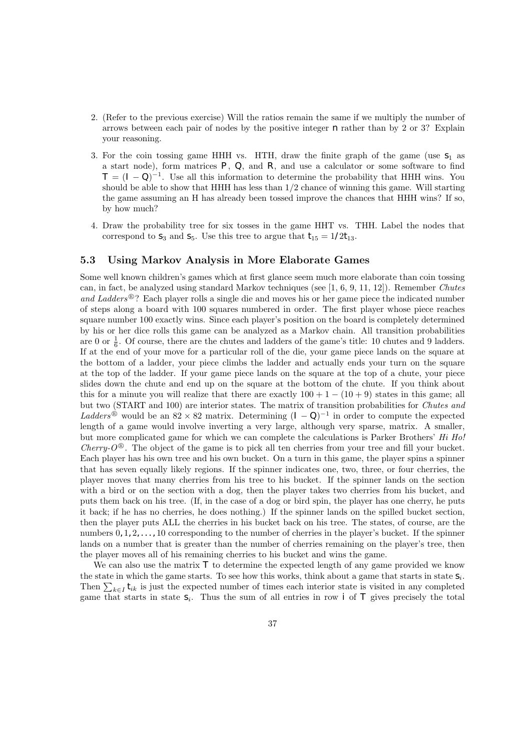- 2. (Refer to the previous exercise) Will the ratios remain the same if we multiply the number of arrows between each pair of nodes by the positive integer  $n$  rather than by 2 or 3? Explain your reasoning.
- 3. For the coin tossing game HHH vs. HTH, draw the finite graph of the game (use  $S_1$  as a start node), form matrices  $P$ ,  $Q$ , and  $R$ , and use a calculator or some software to find  $T = (I - Q)^{-1}$ . Use all this information to determine the probability that HHH wins. You should be able to show that HHH has less than  $1/2$  chance of winning this game. Will starting the game assuming an H has already been tossed improve the chances that HHH wins? If so, by how much?
- 4. Draw the probability tree for six tosses in the game HHT vs. THH. Label the nodes that correspond to  $s_3$  and  $s_5$ . Use this tree to argue that  $t_{15} = 1/2t_{13}$ .

### 5.3 Using Markov Analysis in More Elaborate Games

Some well known children's games which at first glance seem much more elaborate than coin tossing can, in fact, be analyzed using standard Markov techniques (see [1, 6, 9, 11, 12]). Remember Chutes and Ladders<sup>®</sup>? Each player rolls a single die and moves his or her game piece the indicated number of steps along a board with 100 squares numbered in order. The first player whose piece reaches square number 100 exactly wins. Since each player's position on the board is completely determined by his or her dice rolls this game can be analyzed as a Markov chain. All transition probabilities are 0 or  $\frac{1}{6}$ . Of course, there are the chutes and ladders of the game's title: 10 chutes and 9 ladders. If at the end of your move for a particular roll of the die, your game piece lands on the square at the bottom of a ladder, your piece climbs the ladder and actually ends your turn on the square at the top of the ladder. If your game piece lands on the square at the top of a chute, your piece slides down the chute and end up on the square at the bottom of the chute. If you think about this for a minute you will realize that there are exactly  $100 + 1 - (10 + 9)$  states in this game; all but two (START and 100) are interior states. The matrix of transition probabilities for Chutes and Ladders<sup>®</sup> would be an  $82 \times 82$  matrix. Determining  $(I - Q)^{-1}$  in order to compute the expected length of a game would involve inverting a very large, although very sparse, matrix. A smaller, but more complicated game for which we can complete the calculations is Parker Brothers' Hi Ho! Cherry- $O^{\circledR}$ . The object of the game is to pick all ten cherries from your tree and fill your bucket. Each player has his own tree and his own bucket. On a turn in this game, the player spins a spinner that has seven equally likely regions. If the spinner indicates one, two, three, or four cherries, the player moves that many cherries from his tree to his bucket. If the spinner lands on the section with a bird or on the section with a dog, then the player takes two cherries from his bucket, and puts them back on his tree. (If, in the case of a dog or bird spin, the player has one cherry, he puts it back; if he has no cherries, he does nothing.) If the spinner lands on the spilled bucket section, then the player puts ALL the cherries in his bucket back on his tree. The states, of course, are the numbers  $0, 1, 2, \ldots$ , 10 corresponding to the number of cherries in the player's bucket. If the spinner lands on a number that is greater than the number of cherries remaining on the player's tree, then the player moves all of his remaining cherries to his bucket and wins the game.

We can also use the matrix  $\tau$  to determine the expected length of any game provided we know the state in which the game starts. To see how this works, think about a game that starts in state  $S_i$ . Then  $\sum_{k\in I} t_{ik}$  is just the expected number of times each interior state is visited in any completed game that starts in state  $S_i$ . Thus the sum of all entries in row i of T gives precisely the total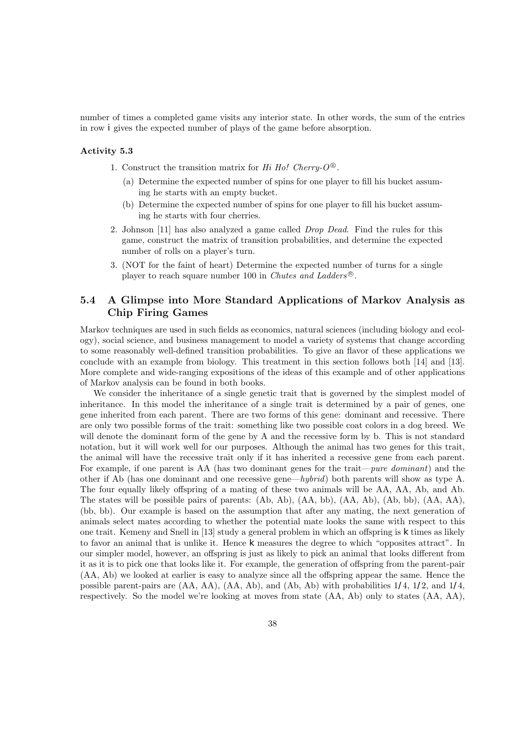number of times a completed game visits any interior state. In other words, the sum of the entries in row i gives the expected number of plays of the game before absorption.

### Activity 5.3

- 1. Construct the transition matrix for Hi Ho! Cherry- $O^{\circledR}$ .
	- (a) Determine the expected number of spins for one player to fill his bucket assuming he starts with an empty bucket.
	- (b) Determine the expected number of spins for one player to fill his bucket assuming he starts with four cherries.
- 2. Johnson [11] has also analyzed a game called Drop Dead. Find the rules for this game, construct the matrix of transition probabilities, and determine the expected number of rolls on a player's turn.
- 3. (NOT for the faint of heart) Determine the expected number of turns for a single player to reach square number 100 in Chutes and Ladders<sup>®</sup>.

### 5.4 A Glimpse into More Standard Applications of Markov Analysis as Chip Firing Games

Markov techniques are used in such fields as economics, natural sciences (including biology and ecology), social science, and business management to model a variety of systems that change according to some reasonably well-defined transition probabilities. To give an flavor of these applications we conclude with an example from biology. This treatment in this section follows both [14] and [13]. More complete and wide-ranging expositions of the ideas of this example and of other applications of Markov analysis can be found in both books.

We consider the inheritance of a single genetic trait that is governed by the simplest model of inheritance. In this model the inheritance of a single trait is determined by a pair of genes, one gene inherited from each parent. There are two forms of this gene: dominant and recessive. There are only two possible forms of the trait: something like two possible coat colors in a dog breed. We will denote the dominant form of the gene by A and the recessive form by b. This is not standard notation, but it will work well for our purposes. Although the animal has two genes for this trait, the animal will have the recessive trait only if it has inherited a recessive gene from each parent. For example, if one parent is AA (has two dominant genes for the trait—*pure dominant*) and the other if Ab (has one dominant and one recessive gene—hybrid) both parents will show as type A. The four equally likely offspring of a mating of these two animals will be AA, AA, Ab, and Ab. The states will be possible pairs of parents: (Ab, Ab), (AA, bb), (AA, Ab), (Ab, bb), (AA, AA), (bb, bb). Our example is based on the assumption that after any mating, the next generation of animals select mates according to whether the potential mate looks the same with respect to this one trait. Kemeny and Snell in  $[13]$  study a general problem in which an offspring is  $k$  times as likely to favor an animal that is unlike it. Hence  $k$  measures the degree to which "opposites attract". In our simpler model, however, an offspring is just as likely to pick an animal that looks different from it as it is to pick one that looks like it. For example, the generation of offspring from the parent-pair (AA, Ab) we looked at earlier is easy to analyze since all the offspring appear the same. Hence the possible parent-pairs are  $(AA, AA)$ ,  $(AA, Ab)$ , and  $(Ab, Ab)$  with probabilities  $1/4$ ,  $1/2$ , and  $1/4$ , respectively. So the model we're looking at moves from state (AA, Ab) only to states (AA, AA),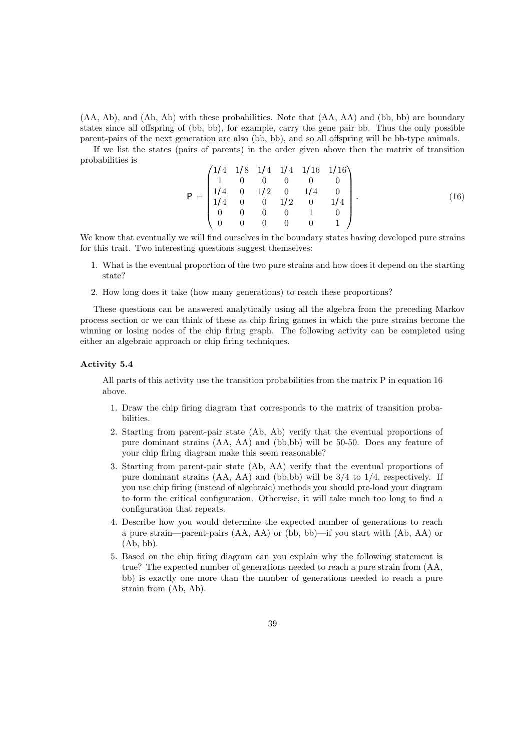(AA, Ab), and (Ab, Ab) with these probabilities. Note that (AA, AA) and (bb, bb) are boundary states since all offspring of (bb, bb), for example, carry the gene pair bb. Thus the only possible parent-pairs of the next generation are also (bb, bb), and so all offspring will be bb-type animals.

If we list the states (pairs of parents) in the order given above then the matrix of transition probabilities is

$$
P = \begin{pmatrix} 1/4 & 1/8 & 1/4 & 1/4 & 1/16 & 1/16 \\ 1 & 0 & 0 & 0 & 0 & 0 \\ 1/4 & 0 & 1/2 & 0 & 1/4 & 0 \\ 1/4 & 0 & 0 & 1/2 & 0 & 1/4 \\ 0 & 0 & 0 & 0 & 1 & 0 \\ 0 & 0 & 0 & 0 & 0 & 1 \end{pmatrix}.
$$
 (16)

We know that eventually we will find ourselves in the boundary states having developed pure strains for this trait. Two interesting questions suggest themselves:

- 1. What is the eventual proportion of the two pure strains and how does it depend on the starting state?
- 2. How long does it take (how many generations) to reach these proportions?

These questions can be answered analytically using all the algebra from the preceding Markov process section or we can think of these as chip firing games in which the pure strains become the winning or losing nodes of the chip firing graph. The following activity can be completed using either an algebraic approach or chip firing techniques.

### Activity 5.4

All parts of this activity use the transition probabilities from the matrix P in equation 16 above.

- 1. Draw the chip firing diagram that corresponds to the matrix of transition probabilities.
- 2. Starting from parent-pair state (Ab, Ab) verify that the eventual proportions of pure dominant strains (AA, AA) and (bb,bb) will be 50-50. Does any feature of your chip firing diagram make this seem reasonable?
- 3. Starting from parent-pair state (Ab, AA) verify that the eventual proportions of pure dominant strains  $(AA, AA)$  and  $(bb, bb)$  will be  $3/4$  to  $1/4$ , respectively. If you use chip firing (instead of algebraic) methods you should pre-load your diagram to form the critical configuration. Otherwise, it will take much too long to find a configuration that repeats.
- 4. Describe how you would determine the expected number of generations to reach a pure strain—parent-pairs (AA, AA) or (bb, bb)—if you start with (Ab, AA) or (Ab, bb).
- 5. Based on the chip firing diagram can you explain why the following statement is true? The expected number of generations needed to reach a pure strain from (AA, bb) is exactly one more than the number of generations needed to reach a pure strain from (Ab, Ab).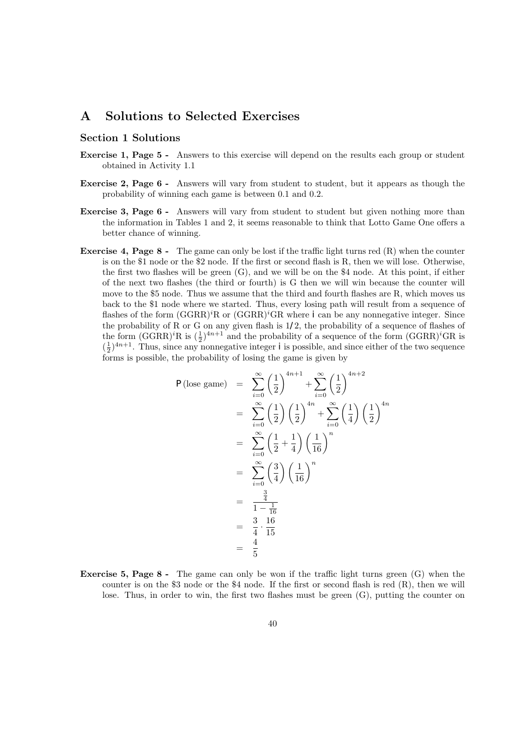### A Solutions to Selected Exercises

### Section 1 Solutions

- Exercise 1, Page 5 Answers to this exercise will depend on the results each group or student obtained in Activity 1.1
- Exercise 2, Page 6 Answers will vary from student to student, but it appears as though the probability of winning each game is between 0.1 and 0.2.
- Exercise 3, Page 6 Answers will vary from student to student but given nothing more than the information in Tables 1 and 2, it seems reasonable to think that Lotto Game One offers a better chance of winning.
- Exercise 4, Page 8 The game can only be lost if the traffic light turns red (R) when the counter is on the \$1 node or the \$2 node. If the first or second flash is R, then we will lose. Otherwise, the first two flashes will be green (G), and we will be on the \$4 node. At this point, if either of the next two flashes (the third or fourth) is G then we will win because the counter will move to the \$5 node. Thus we assume that the third and fourth flashes are R, which moves us back to the \$1 node where we started. Thus, every losing path will result from a sequence of flashes of the form  $(GGRR)^{i}R$  or  $(GGRR)^{i}GR$  where i can be any nonnegative integer. Since the probability of R or G on any given flash is  $1/2$ , the probability of a sequence of flashes of the form  $(GGRR)^iR$  is  $(\frac{1}{2})^{4n+1}$  and the probability of a sequence of the form  $(GGRR)^iGR$  is  $(\frac{1}{2})^{4n+1}$ . Thus, since any nonnegative integer *i* is possible, and since either of the two sequence forms is possible, the probability of losing the game is given by

$$
P(\text{lose game}) = \sum_{i=0}^{\infty} \left(\frac{1}{2}\right)^{4n+1} + \sum_{i=0}^{\infty} \left(\frac{1}{2}\right)^{4n+2}
$$
  
= 
$$
\sum_{i=0}^{\infty} \left(\frac{1}{2}\right) \left(\frac{1}{2}\right)^{4n} + \sum_{i=0}^{\infty} \left(\frac{1}{4}\right) \left(\frac{1}{2}\right)^{4n}
$$
  
= 
$$
\sum_{i=0}^{\infty} \left(\frac{1}{2} + \frac{1}{4}\right) \left(\frac{1}{16}\right)^n
$$
  
= 
$$
\sum_{i=0}^{\infty} \left(\frac{3}{4}\right) \left(\frac{1}{16}\right)^n
$$
  
= 
$$
\frac{\frac{3}{4}}{1 - \frac{1}{16}}
$$
  
= 
$$
\frac{3}{4} \cdot \frac{16}{15}
$$
  
= 
$$
\frac{4}{5}
$$

**Exercise 5, Page 8 -** The game can only be won if the traffic light turns green  $(G)$  when the counter is on the \$3 node or the \$4 node. If the first or second flash is red (R), then we will lose. Thus, in order to win, the first two flashes must be green (G), putting the counter on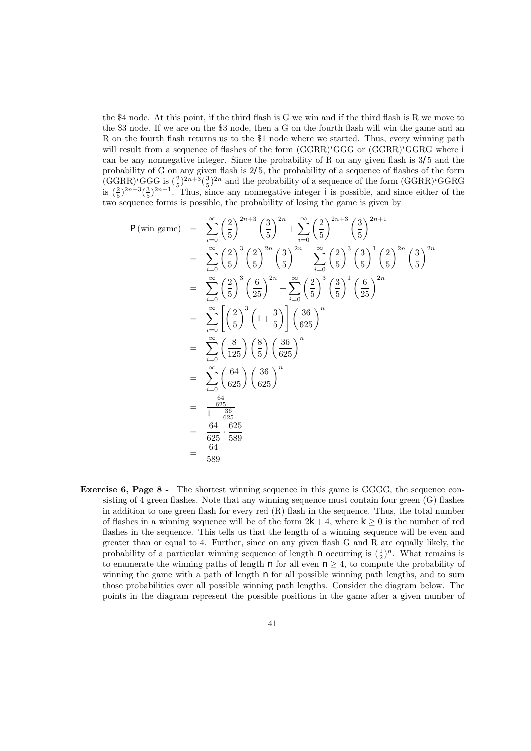the \$4 node. At this point, if the third flash is  $G$  we win and if the third flash is  $R$  we move to the \$3 node. If we are on the \$3 node, then a G on the fourth flash will win the game and an R on the fourth flash returns us to the \$1 node where we started. Thus, every winning path will result from a sequence of flashes of the form  $(GGRR)^iGGG$  or  $(GGRR)^iGGRG$  where i can be any nonnegative integer. Since the probability of R on any given flash is  $3/5$  and the probability of G on any given flash is 2/5, the probability of a sequence of flashes of the form  $(\text{GGRR})^i \text{GGG}$  is  $(\frac{2}{5})^{2n+3}(\frac{3}{5})^{2n}$  and the probability of a sequence of the form  $(\text{GGRR})^i \text{GGRG}$ is  $(\frac{2}{5})^{2n+3}(\frac{3}{5})^{2n+1}$ . Thus, since any nonnegative integer *i* is possible, and since either of the two sequence forms is possible, the probability of losing the game is given by

$$
P(\text{win game}) = \sum_{i=0}^{\infty} \left(\frac{2}{5}\right)^{2n+3} \left(\frac{3}{5}\right)^{2n} + \sum_{i=0}^{\infty} \left(\frac{2}{5}\right)^{2n+3} \left(\frac{3}{5}\right)^{2n+1}
$$
  
\n
$$
= \sum_{i=0}^{\infty} \left(\frac{2}{5}\right)^3 \left(\frac{2}{5}\right)^{2n} \left(\frac{3}{5}\right)^{2n} + \sum_{i=0}^{\infty} \left(\frac{2}{5}\right)^3 \left(\frac{3}{5}\right)^1 \left(\frac{2}{5}\right)^{2n} \left(\frac{3}{5}\right)^{2n}
$$
  
\n
$$
= \sum_{i=0}^{\infty} \left(\frac{2}{5}\right)^3 \left(\frac{6}{25}\right)^{2n} + \sum_{i=0}^{\infty} \left(\frac{2}{5}\right)^3 \left(\frac{3}{5}\right)^1 \left(\frac{6}{25}\right)^{2n}
$$
  
\n
$$
= \sum_{i=0}^{\infty} \left[\left(\frac{2}{5}\right)^3 \left(1 + \frac{3}{5}\right)\right] \left(\frac{36}{625}\right)^n
$$
  
\n
$$
= \sum_{i=0}^{\infty} \left(\frac{8}{125}\right) \left(\frac{8}{5}\right) \left(\frac{36}{625}\right)^n
$$
  
\n
$$
= \sum_{i=0}^{\infty} \left(\frac{64}{625}\right) \left(\frac{36}{625}\right)^n
$$
  
\n
$$
= \frac{\frac{64}{625}}{1 - \frac{36}{625}}
$$
  
\n
$$
= \frac{64}{625} \cdot \frac{625}{589}
$$
  
\n
$$
= \frac{64}{589}
$$

Exercise 6, Page 8 - The shortest winning sequence in this game is GGGG, the sequence consisting of 4 green flashes. Note that any winning sequence must contain four green (G) flashes in addition to one green flash for every red  $(R)$  flash in the sequence. Thus, the total number of flashes in a winning sequence will be of the form  $2k + 4$ , where  $k \geq 0$  is the number of red flashes in the sequence. This tells us that the length of a winning sequence will be even and greater than or equal to 4. Further, since on any given flash G and R are equally likely, the probability of a particular winning sequence of length  $n$  occurring is  $(\frac{1}{2})^n$ . What remains is to enumerate the winning paths of length  $n$  for all even  $n \geq 4$ , to compute the probability of winning the game with a path of length  $n$  for all possible winning path lengths, and to sum those probabilities over all possible winning path lengths. Consider the diagram below. The points in the diagram represent the possible positions in the game after a given number of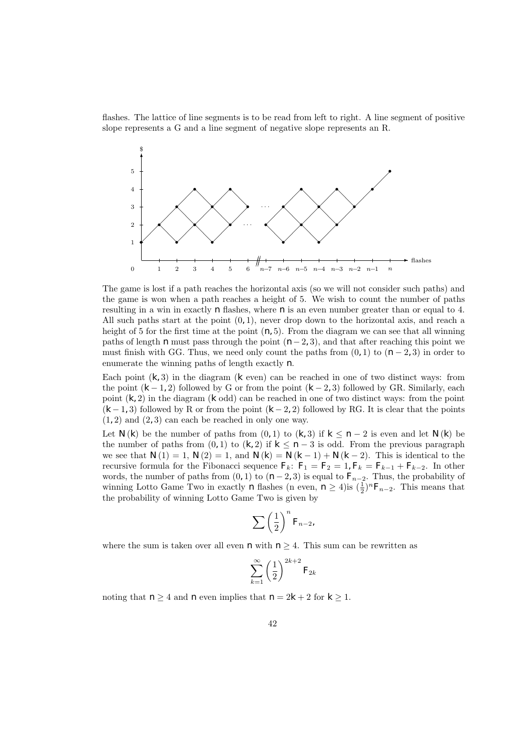flashes. The lattice of line segments is to be read from left to right. A line segment of positive slope represents a G and a line segment of negative slope represents an R.



The game is lost if a path reaches the horizontal axis (so we will not consider such paths) and the game is won when a path reaches a height of 5. We wish to count the number of paths resulting in a win in exactly  $n$  flashes, where  $n$  is an even number greater than or equal to 4. All such paths start at the point  $(0, 1)$ , never drop down to the horizontal axis, and reach a height of 5 for the first time at the point  $(n, 5)$ . From the diagram we can see that all winning paths of length n must pass through the point  $(n-2, 3)$ , and that after reaching this point we must finish with GG. Thus, we need only count the paths from  $(0, 1)$  to  $(n - 2, 3)$  in order to enumerate the winning paths of length exactly  $n$ .

Each point  $(k, 3)$  in the diagram  $(k \text{ even})$  can be reached in one of two distinct ways: from the point  $(k-1, 2)$  followed by G or from the point  $(k-2, 3)$  followed by GR. Similarly, each point  $(k, 2)$  in the diagram  $(k \text{ odd})$  can be reached in one of two distinct ways: from the point  $(k-1,3)$  followed by R or from the point  $(k-2,2)$  followed by RG. It is clear that the points  $(1, 2)$  and  $(2, 3)$  can each be reached in only one way.

Let  $N(k)$  be the number of paths from  $(0, 1)$  to  $(k, 3)$  if  $k \leq n-2$  is even and let  $N(k)$  be the number of paths from  $(0, 1)$  to  $(k, 2)$  if  $k \leq n-3$  is odd. From the previous paragraph we see that  $N(1) = 1$ ,  $N(2) = 1$ , and  $N(k) = N(k-1) + N(k-2)$ . This is identical to the recursive formula for the Fibonacci sequence  $F_k$ :  $F_1 = F_2 = 1$ ,  $F_k = F_{k-1} + F_{k-2}$ . In other words, the number of paths from  $(0, 1)$  to  $(n-2, 3)$  is equal to  $F_{n-2}$ . Thus, the probability of winning Lotto Game Two in exactly *n* flashes (n even,  $n \geq 4$ ) is  $(\frac{1}{2})^n F_{n-2}$ . This means that the probability of winning Lotto Game Two is given by

$$
\sum \left(\frac{1}{2}\right)^n F_{n-2},
$$

where the sum is taken over all even  $n$  with  $n \geq 4$ . This sum can be rewritten as

$$
\sum_{k=1}^{\infty} \left(\frac{1}{2}\right)^{2k+2} {\cal F}_{2k}
$$

noting that  $n \geq 4$  and n even implies that  $n = 2k + 2$  for  $k \geq 1$ .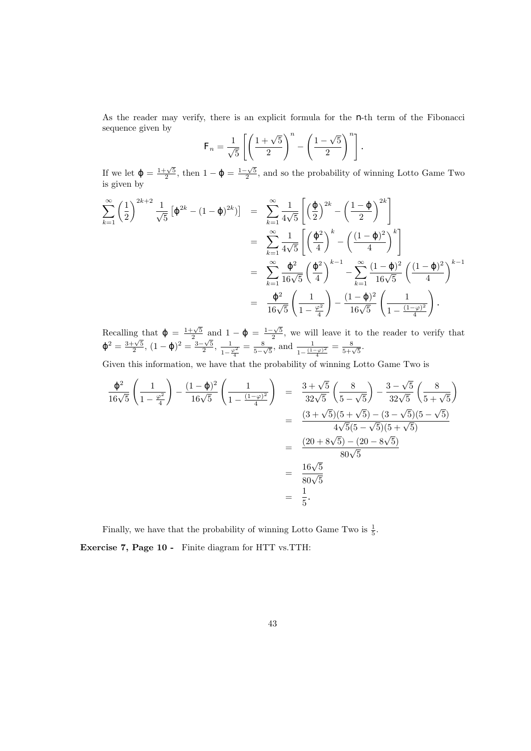As the reader may verify, there is an explicit formula for the  $n$ -th term of the Fibonacci sequence given by √

$$
F_n = \frac{1}{\sqrt{5}} \left[ \left( \frac{1+\sqrt{5}}{2} \right)^n - \left( \frac{1-\sqrt{5}}{2} \right)^n \right].
$$

If we let  $=\frac{1+\sqrt{5}}{2}$ , then  $1-\frac{1-\sqrt{5}}{2}$ , and so the probability of winning Lotto Game Two is given by

$$
\sum_{k=1}^{\infty} \left(\frac{1}{2}\right)^{2k+2} \frac{1}{\sqrt{5}} \left[ 2^{k} - (1 - 2)^{2k} \right] = \sum_{k=1}^{\infty} \frac{1}{4\sqrt{5}} \left[ \left(\frac{1}{2}\right)^{2k} - \left(\frac{1 - 2}{2}\right)^{2k} \right]
$$
  
\n
$$
= \sum_{k=1}^{\infty} \frac{1}{4\sqrt{5}} \left[ \left(\frac{2}{4}\right)^{k} - \left(\frac{(1 - 2)^{2}}{4}\right)^{k} \right]
$$
  
\n
$$
= \sum_{k=1}^{\infty} \frac{1}{16\sqrt{5}} \left(\frac{2}{4}\right)^{k-1} - \sum_{k=1}^{\infty} \frac{(1 - 2)^{2}}{16\sqrt{5}} \left(\frac{(1 - 2)^{2}}{4}\right)^{k-1}
$$
  
\n
$$
= \frac{2}{16\sqrt{5}} \left(\frac{1}{1 - \frac{\varphi^{2}}{4}}\right) - \frac{(1 - 2)^{2}}{16\sqrt{5}} \left(\frac{1}{1 - \frac{(1 - \varphi)^{2}}{4}}\right).
$$

Recalling that  $=\frac{1+\sqrt{5}}{2}$  and  $1-\frac{1-\sqrt{5}}{2}$ , we will leave it to the reader to verify that  $\sigma^2 = \frac{3+\sqrt{5}}{2}, (1-\frac{1}{2})^2 = \frac{3-\sqrt{5}}{2}, \frac{1}{1-\frac{5}}$  $\frac{1}{1-\frac{\varphi^2}{4}}=\frac{8}{5-\frac{3}{4}}$  $\frac{8}{5-\sqrt{5}}, \text{ and } \frac{1}{1-\frac{(1-\varphi)^2}{4}} = \frac{8}{5+\sqrt{5}}.$ 

Given this information, we have that the probability of winning Lotto Game Two is

$$
\frac{^{2}}{16\sqrt{5}}\left(\frac{1}{1-\frac{\varphi^{2}}{4}}\right) - \frac{(1-\_)^{2}}{16\sqrt{5}}\left(\frac{1}{1-\frac{(1-\varphi)^{2}}{4}}\right) = \frac{3+\sqrt{5}}{32\sqrt{5}}\left(\frac{8}{5-\sqrt{5}}\right) - \frac{3-\sqrt{5}}{32\sqrt{5}}\left(\frac{8}{5+\sqrt{5}}\right)
$$

$$
= \frac{(3+\sqrt{5})(5+\sqrt{5}) - (3-\sqrt{5})(5-\sqrt{5})}{4\sqrt{5}(5-\sqrt{5})(5+\sqrt{5})}
$$

$$
= \frac{(20+8\sqrt{5}) - (20-8\sqrt{5})}{80\sqrt{5}}
$$

$$
= \frac{16\sqrt{5}}{80\sqrt{5}}
$$

$$
= \frac{1}{5}.
$$

Finally, we have that the probability of winning Lotto Game Two is  $\frac{1}{5}$ . Exercise 7, Page 10 - Finite diagram for HTT vs.TTH: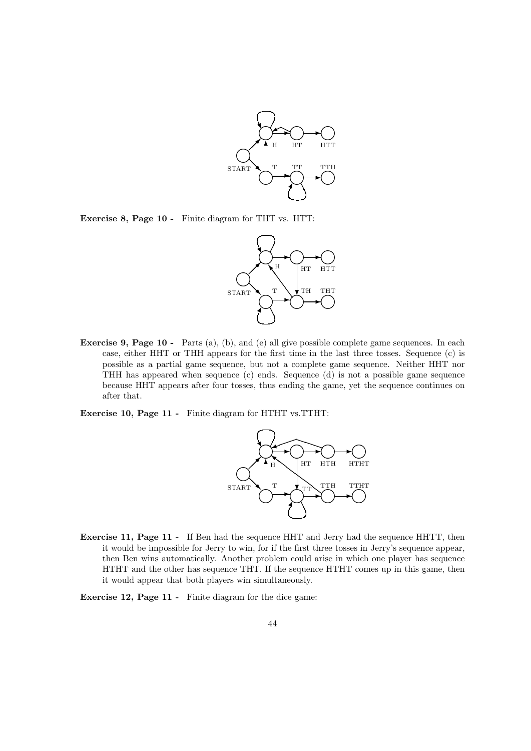

Exercise 8, Page 10 - Finite diagram for THT vs. HTT:



Exercise 9, Page 10 - Parts (a), (b), and (e) all give possible complete game sequences. In each case, either HHT or THH appears for the first time in the last three tosses. Sequence (c) is possible as a partial game sequence, but not a complete game sequence. Neither HHT nor THH has appeared when sequence (c) ends. Sequence (d) is not a possible game sequence because HHT appears after four tosses, thus ending the game, yet the sequence continues on after that.

Exercise 10, Page 11 - Finite diagram for HTHT vs.TTHT:



Exercise 11, Page 11 - If Ben had the sequence HHT and Jerry had the sequence HHTT, then it would be impossible for Jerry to win, for if the first three tosses in Jerry's sequence appear, then Ben wins automatically. Another problem could arise in which one player has sequence HTHT and the other has sequence THT. If the sequence HTHT comes up in this game, then it would appear that both players win simultaneously.

Exercise 12, Page 11 - Finite diagram for the dice game: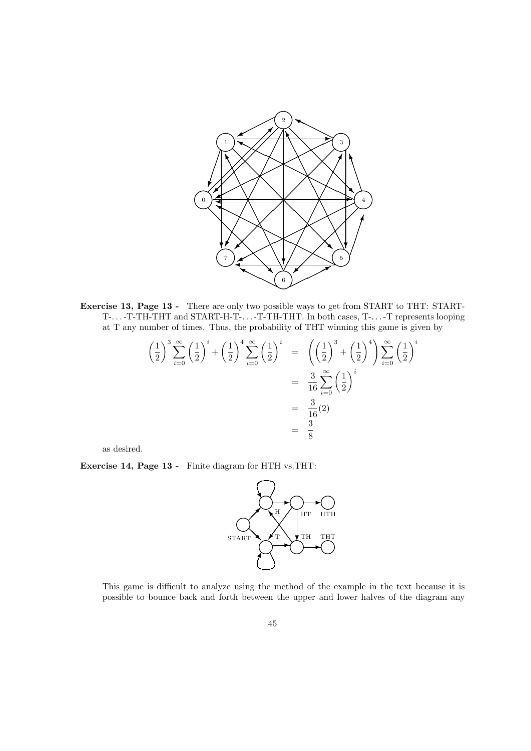

Exercise 13, Page 13 - There are only two possible ways to get from START to THT: START-T-. . . -T-TH-THT and START-H-T-. . . -T-TH-THT. In both cases, T-. . . -T represents looping at T any number of times. Thus, the probability of THT winning this game is given by

$$
\left(\frac{1}{2}\right)^3 \sum_{i=0}^{\infty} \left(\frac{1}{2}\right)^i + \left(\frac{1}{2}\right)^4 \sum_{i=0}^{\infty} \left(\frac{1}{2}\right)^i = \left(\left(\frac{1}{2}\right)^3 + \left(\frac{1}{2}\right)^4\right) \sum_{i=0}^{\infty} \left(\frac{1}{2}\right)^i
$$

$$
= \frac{3}{16} \sum_{i=0}^{\infty} \left(\frac{1}{2}\right)^i
$$

$$
= \frac{3}{16}(2)
$$

$$
= \frac{3}{8}
$$

as desired.

Exercise 14, Page 13 - Finite diagram for HTH vs.THT:



This game is difficult to analyze using the method of the example in the text because it is possible to bounce back and forth between the upper and lower halves of the diagram any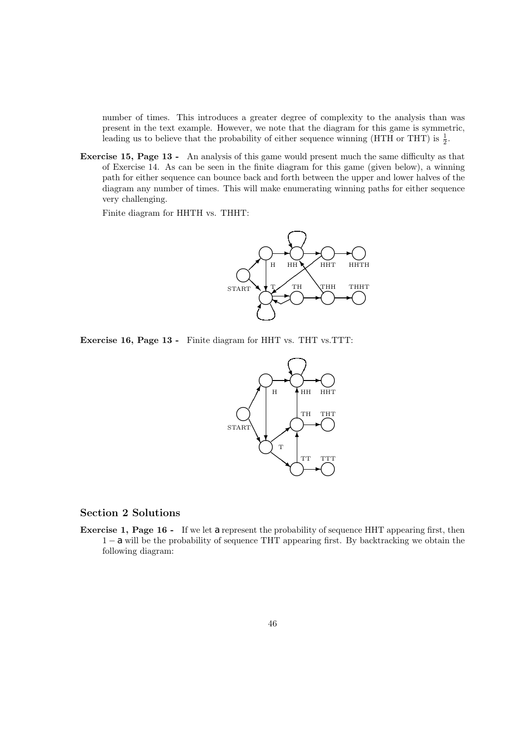number of times. This introduces a greater degree of complexity to the analysis than was present in the text example. However, we note that the diagram for this game is symmetric, leading us to believe that the probability of either sequence winning (HTH or THT) is  $\frac{1}{2}$ .

Exercise 15, Page 13 - An analysis of this game would present much the same difficulty as that of Exercise 14. As can be seen in the finite diagram for this game (given below), a winning path for either sequence can bounce back and forth between the upper and lower halves of the diagram any number of times. This will make enumerating winning paths for either sequence very challenging.

Finite diagram for HHTH vs. THHT:



Exercise 16, Page 13 - Finite diagram for HHT vs. THT vs.TTT:



### Section 2 Solutions

Exercise 1, Page 16 - If we let a represent the probability of sequence HHT appearing first, then 1 − a will be the probability of sequence THT appearing first. By backtracking we obtain the following diagram: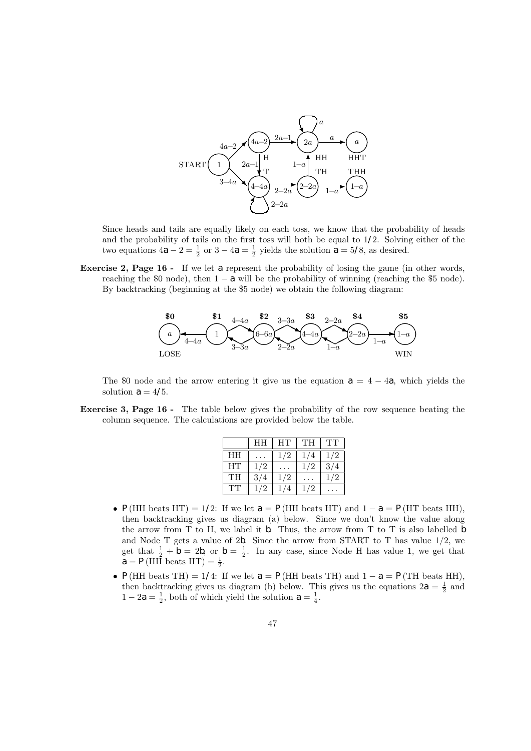

Since heads and tails are equally likely on each toss, we know that the probability of heads and the probability of tails on the first toss will both be equal to  $1/2$ . Solving either of the two equations  $4a - 2 = \frac{1}{2}$  or  $3 - 4a = \frac{1}{2}$  yields the solution  $a = 5/8$ , as desired.

Exercise 2, Page 16 - If we let a represent the probability of losing the game (in other words, reaching the \$0 node), then  $1 - a$  will be the probability of winning (reaching the \$5 node). By backtracking (beginning at the \$5 node) we obtain the following diagram:



The \$0 node and the arrow entering it give us the equation  $a = 4 - 4a$ , which yields the solution  $a = 4/5$ .

Exercise 3, Page 16 - The table below gives the probability of the row sequence beating the column sequence. The calculations are provided below the table.

|    | HH  | HТ  | TH | TT           |
|----|-----|-----|----|--------------|
| HH |     | 1/2 |    | 1/2          |
| HТ | 172 |     |    | 3/           |
| TH | 3   | 1/2 |    | $\mathbf{z}$ |
| TT |     |     |    |              |

- P(HH beats HT) = 1/2: If we let  $a = P(HH$  beats HT) and  $1 a = P(HT$  beats HH), then backtracking gives us diagram (a) below. Since we don't know the value along the arrow from T to H, we label it  $b$ . Thus, the arrow from T to T is also labelled  $b$ and Node T gets a value of  $2b$ . Since the arrow from START to T has value  $1/2$ , we get that  $\frac{1}{2} + b = 2b$ , or  $b = \frac{1}{2}$ . In any case, since Node H has value 1, we get that  $a = P(HH$  beats  $HT$ ) =  $\frac{1}{2}$ .
- P(HH beats TH) = 1/4: If we let  $a = P(HH$  beats TH) and  $1 a = P(TH$  beats HH), then backtracking gives us diagram (b) below. This gives us the equations  $2a = \frac{1}{2}$  and  $1 - 2a = \frac{1}{2}$ , both of which yield the solution  $a = \frac{1}{4}$ .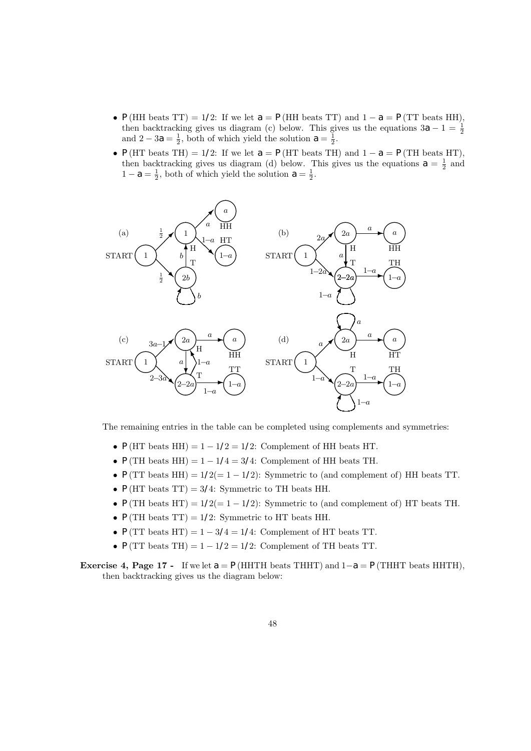- P(HH beats TT) = 1/2: If we let  $a = P(HH$  beats TT) and  $1 a = P(TT$  beats HH), then backtracking gives us diagram (c) below. This gives us the equations  $3a - 1 = \frac{1}{2}$ and  $2 - 3a = \frac{1}{2}$ , both of which yield the solution  $a = \frac{1}{2}$ .
- P(HT beats TH) = 1/2: If we let  $a = P(HT$  beats TH) and  $1 a = P(TH$  beats HT), then backtracking gives us diagram (d) below. This gives us the equations  $a = \frac{1}{2}$  and  $1 - a = \frac{1}{2}$ , both of which yield the solution  $a = \frac{1}{2}$ .



The remaining entries in the table can be completed using complements and symmetries:

- $P(HT \text{ beats HH}) = 1 1/2 = 1/2$ : Complement of HH beats HT.
- $P(TH$  beats HH) = 1 1/4 = 3/4: Complement of HH beats TH.
- $P(TT \text{ beats HH}) = 1/2 (= 1 1/2)$ : Symmetric to (and complement of) HH beats TT.
- $P(HT \text{ beats TT}) = 3/4$ : Symmetric to TH beats HH.
- P(TH beats HT) =  $1/2(=1-1/2)$ : Symmetric to (and complement of) HT beats TH.
- $P(TH$  beats TT) = 1/2: Symmetric to HT beats HH.
- $P(TT \text{ beats HT}) = 1 3/4 = 1/4$ : Complement of HT beats TT.
- $P(TT \text{ beats } TH) = 1 1/2 = 1/2$ : Complement of TH beats TT.
- Exercise 4, Page 17 If we let  $a = P(HHTH$  beats THHT) and  $1-a = P(THHT)$  beats HHTH), then backtracking gives us the diagram below: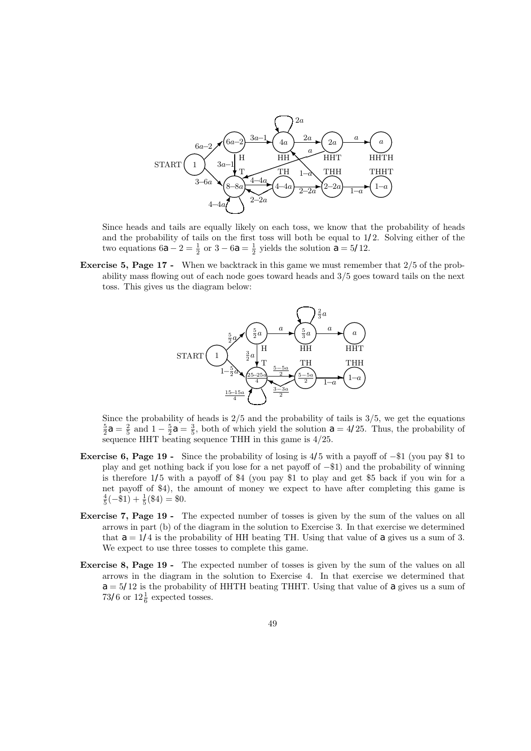

Since heads and tails are equally likely on each toss, we know that the probability of heads and the probability of tails on the first toss will both be equal to  $1/2$ . Solving either of the two equations  $6a - 2 = \frac{1}{2}$  or  $3 - 6a = \frac{1}{2}$  yields the solution  $a = 5/12$ .

Exercise 5, Page 17 - When we backtrack in this game we must remember that 2/5 of the probability mass flowing out of each node goes toward heads and 3/5 goes toward tails on the next toss. This gives us the diagram below:



Since the probability of heads is  $2/5$  and the probability of tails is  $3/5$ , we get the equations  $\frac{5}{2}a = \frac{2}{5}$  and  $1 - \frac{5}{2}a = \frac{3}{5}$ , both of which yield the solution  $a = 4/25$ . Thus, the probability of sequence HHT beating sequence THH in this game is 4/25.

- Exercise 6, Page 19 Since the probability of losing is  $4/5$  with a payoff of  $-1$  (you pay \$1 to play and get nothing back if you lose for a net payoff of −\$1) and the probability of winning is therefore 1/5 with a payoff of \$4 (you pay \$1 to play and get \$5 back if you win for a net payoff of \$4), the amount of money we expect to have after completing this game is  $\frac{4}{5}(-\$1) + \frac{1}{5}(\$4) = \$0.$
- Exercise 7, Page 19 The expected number of tosses is given by the sum of the values on all arrows in part (b) of the diagram in the solution to Exercise 3. In that exercise we determined that  $a = 1/4$  is the probability of HH beating TH. Using that value of a gives us a sum of 3. We expect to use three tosses to complete this game.
- Exercise 8, Page 19 The expected number of tosses is given by the sum of the values on all arrows in the diagram in the solution to Exercise 4. In that exercise we determined that  $a = 5/12$  is the probability of HHTH beating THHT. Using that value of a gives us a sum of 73/6 or  $12\frac{1}{6}$  expected tosses.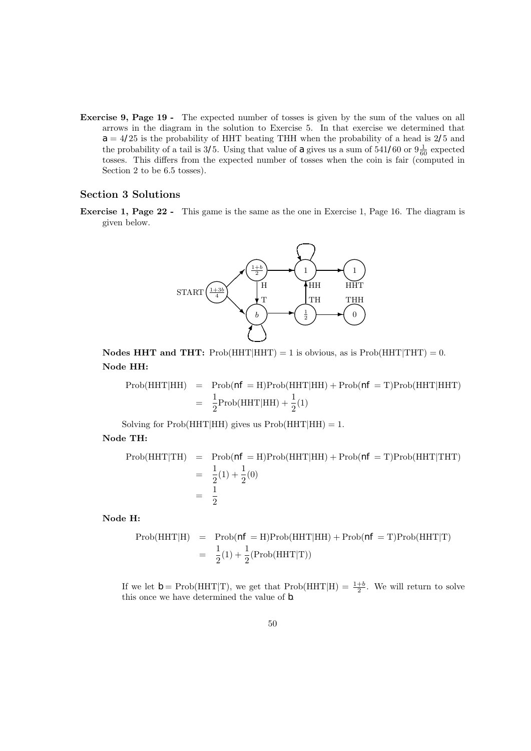Exercise 9, Page 19 - The expected number of tosses is given by the sum of the values on all arrows in the diagram in the solution to Exercise 5. In that exercise we determined that  $a = 4/25$  is the probability of HHT beating THH when the probability of a head is 2/5 and the probability of a tail is 3/5. Using that value of a gives us a sum of  $541/60$  or  $9\frac{1}{60}$  expected tosses. This differs from the expected number of tosses when the coin is fair (computed in Section 2 to be 6.5 tosses).

### Section 3 Solutions

Exercise 1, Page 22 - This game is the same as the one in Exercise 1, Page 16. The diagram is given below.



**Nodes HHT and THT:** Prob(HHT|HHT) = 1 is obvious, as is Prob(HHT|THT) = 0. Node HH:

Prob(HHT|HH) = Prob(
$$
nf
$$
 = H)Prob(HHT|HH) + Prob( $nf$  = T)Prob(HHT|HHT)  
=  $\frac{1}{2}$ Prob(HHT|HH) +  $\frac{1}{2}$ (1)

Solving for  $Prob(HHT|HH)$  gives us  $Prob(HHT|HH) = 1$ .

Node TH:

$$
\begin{aligned} \text{Prob}(\text{HHT}|\text{TH}) &= \text{Prob}(n\hat{\mathbf{r}} = \text{H})\text{Prob}(\text{HHT}|\text{HH}) + \text{Prob}(n\hat{\mathbf{r}} = \text{T})\text{Prob}(\text{HHT}|\text{THT}) \\ &= \frac{1}{2}(1) + \frac{1}{2}(0) \\ &= \frac{1}{2} \end{aligned}
$$

Node H:

$$
\begin{array}{rcl}\n\text{Prob}(\text{HHT}|\text{H}) & = & \text{Prob}(n\mathit{f} = \text{H})\text{Prob}(\text{HHT}|\text{HH}) + \text{Prob}(n\mathit{f} = \text{T})\text{Prob}(\text{HHT}|\text{T}) \\
 & = & \frac{1}{2}(1) + \frac{1}{2}(\text{Prob}(\text{HHT}|\text{T}))\n\end{array}
$$

If we let  $b = \text{Prob}(\text{HHT}|\text{T})$ , we get that  $\text{Prob}(\text{HHT}|\text{H}) = \frac{1+b}{2}$ . We will return to solve this once we have determined the value of  $b$ .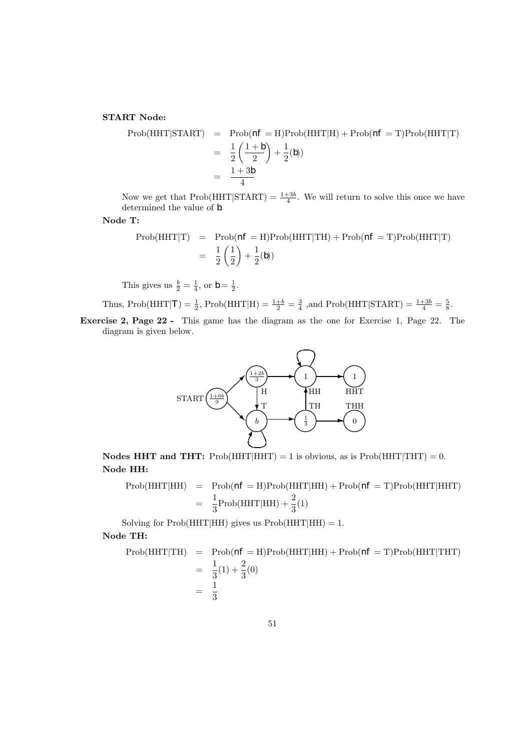START Node:

$$
\text{Prob}(\text{HHT}|\text{START}) = \text{Prob}(n\mathbf{f} = \text{H})\text{Prob}(\text{HHT}|\text{H}) + \text{Prob}(n\mathbf{f} = \text{T})\text{Prob}(\text{HHT}|\text{T})
$$
\n
$$
= \frac{1}{2}\left(\frac{1+b}{2}\right) + \frac{1}{2}(b)
$$
\n
$$
= \frac{1+3b}{4}
$$

Now we get that  $Prob(HHT|START) = \frac{1+3b}{4}$ . We will return to solve this once we have determined the value of *.* 

Node T:

$$
\text{Prob}(\text{HHT}|\text{T}) = \text{Prob}(n\mathbf{f} = \text{H})\text{Prob}(\text{HHT}|\text{TH}) + \text{Prob}(n\mathbf{f} = \text{T})\text{Prob}(\text{HHT}|\text{T})
$$

$$
= \frac{1}{2} \left(\frac{1}{2}\right) + \frac{1}{2}(b)
$$

This gives us  $\frac{b}{2} = \frac{1}{4}$ , or  $b = \frac{1}{2}$ .

Thus, Prob(HHT|*I*) = 
$$
\frac{1}{2}
$$
, Prob(HHT|H) =  $\frac{1+b}{2}$  =  $\frac{3}{4}$ , and Prob(HHT|STATE) =  $\frac{1+3b}{4}$  =  $\frac{5}{8}$ .

Exercise 2, Page 22 - This game has the diagram as the one for Exercise 1, Page 22. The diagram is given below.



Nodes HHT and THT:  $Prob(HHT|HHT) = 1$  is obvious, as is  $Prob(HHT|THT) = 0$ . Node HH:

$$
\text{Prob}(\text{HHT}|\text{HH}) = \text{Prob}(n\mathbf{f} = \text{H})\text{Prob}(\text{HHT}|\text{HH}) + \text{Prob}(n\mathbf{f} = \text{T})\text{Prob}(\text{HHT}|\text{HHT})
$$

$$
= \frac{1}{3}\text{Prob}(\text{HHT}|\text{HH}) + \frac{2}{3}(1)
$$

Solving for  $Prob(HHT|HH)$  gives us  $Prob(HHT|HH) = 1$ .

Node TH:

$$
\begin{aligned} \text{Prob}(\text{HHT}|\text{TH}) &= \text{Prob}(n\mathbf{f} = \text{H}) \text{Prob}(\text{HHT}|\text{HH}) + \text{Prob}(n\mathbf{f} = \text{T}) \text{Prob}(\text{HHT}|\text{THT}) \\ &= \frac{1}{3}(1) + \frac{2}{3}(0) \\ &= \frac{1}{3} \end{aligned}
$$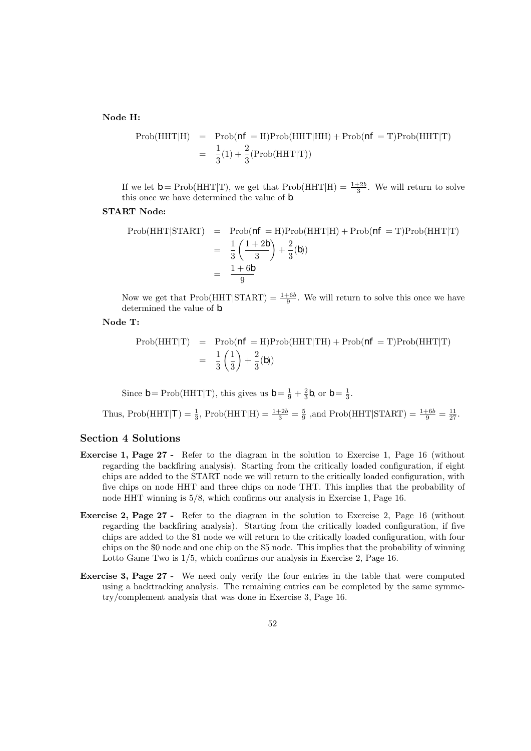#### Node H:

$$
\text{Prob}(\text{HHT}|\text{H}) = \text{Prob}(n\text{f} = \text{H})\text{Prob}(\text{HHT}|\text{H}\text{H}) + \text{Prob}(n\text{f} = \text{T})\text{Prob}(\text{HHT}|\text{T})
$$

$$
= \frac{1}{3}(1) + \frac{2}{3}(\text{Prob}(\text{HHT}|\text{T}))
$$

If we let  $b = \text{Prob}(\text{HHT}|\text{T})$ , we get that  $\text{Prob}(\text{HHT}|\text{H}) = \frac{1+2b}{3}$ . We will return to solve this once we have determined the value of b.

### START Node:

Prob(HHT|STATE) = Prob(
$$
nF
$$
 = H)Prob(HHT|H) + Prob( $nF$  = T)Prob(HHT|T)  
\n=  $\frac{1}{3} \left( \frac{1+2b}{3} \right) + \frac{2}{3}(b)$   
\n=  $\frac{1+6b}{9}$ 

Now we get that  $Prob(HHT|START) = \frac{1+6b}{9}$ . We will return to solve this once we have determined the value of *.* 

#### Node T:

$$
\text{Prob}(\text{HHT}|\text{T}) = \text{Prob}(n\mathcal{F} = \text{H})\text{Prob}(\text{HHT}|\text{TH}) + \text{Prob}(n\mathcal{F} = \text{T})\text{Prob}(\text{HHT}|\text{T})
$$

$$
= \frac{1}{3}\left(\frac{1}{3}\right) + \frac{2}{3}(b)
$$

Since  $b = \text{Prob}(\text{HHT}|\text{T})$ , this gives us  $b = \frac{1}{9} + \frac{2}{3}b$ , or  $b = \frac{1}{3}$ .

Thus, Prob(HHT|*T*) = 
$$
\frac{1}{3}
$$
, Prob(HHT|H) =  $\frac{1+2b}{3} = \frac{5}{9}$ , and Prob(HHT|STAT) =  $\frac{1+6b}{9} = \frac{11}{27}$ .

### Section 4 Solutions

- Exercise 1, Page 27 Refer to the diagram in the solution to Exercise 1, Page 16 (without regarding the backfiring analysis). Starting from the critically loaded configuration, if eight chips are added to the START node we will return to the critically loaded configuration, with five chips on node HHT and three chips on node THT. This implies that the probability of node HHT winning is 5/8, which confirms our analysis in Exercise 1, Page 16.
- Exercise 2, Page 27 Refer to the diagram in the solution to Exercise 2, Page 16 (without regarding the backfiring analysis). Starting from the critically loaded configuration, if five chips are added to the \$1 node we will return to the critically loaded configuration, with four chips on the \$0 node and one chip on the \$5 node. This implies that the probability of winning Lotto Game Two is 1/5, which confirms our analysis in Exercise 2, Page 16.
- Exercise 3, Page 27 We need only verify the four entries in the table that were computed using a backtracking analysis. The remaining entries can be completed by the same symmetry/complement analysis that was done in Exercise 3, Page 16.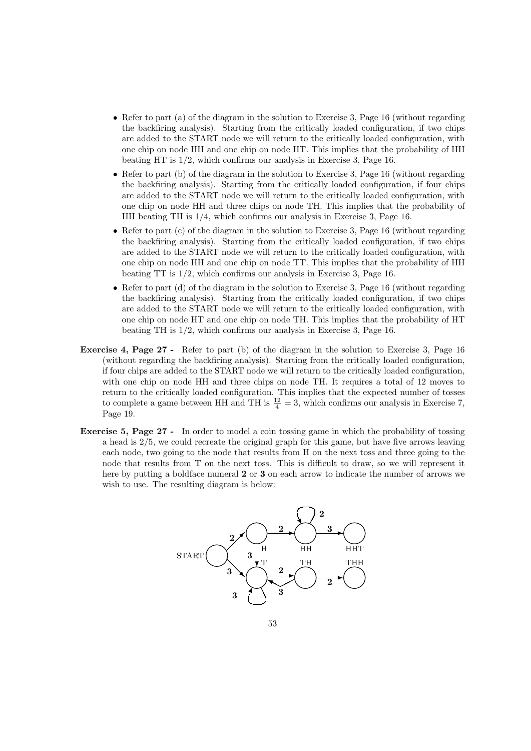- Refer to part (a) of the diagram in the solution to Exercise 3, Page 16 (without regarding the backfiring analysis). Starting from the critically loaded configuration, if two chips are added to the START node we will return to the critically loaded configuration, with one chip on node HH and one chip on node HT. This implies that the probability of HH beating HT is 1/2, which confirms our analysis in Exercise 3, Page 16.
- Refer to part (b) of the diagram in the solution to Exercise 3, Page 16 (without regarding the backfiring analysis). Starting from the critically loaded configuration, if four chips are added to the START node we will return to the critically loaded configuration, with one chip on node HH and three chips on node TH. This implies that the probability of HH beating TH is 1/4, which confirms our analysis in Exercise 3, Page 16.
- Refer to part (c) of the diagram in the solution to Exercise 3, Page 16 (without regarding the backfiring analysis). Starting from the critically loaded configuration, if two chips are added to the START node we will return to the critically loaded configuration, with one chip on node HH and one chip on node TT. This implies that the probability of HH beating TT is 1/2, which confirms our analysis in Exercise 3, Page 16.
- Refer to part (d) of the diagram in the solution to Exercise 3, Page 16 (without regarding the backfiring analysis). Starting from the critically loaded configuration, if two chips are added to the START node we will return to the critically loaded configuration, with one chip on node HT and one chip on node TH. This implies that the probability of HT beating TH is 1/2, which confirms our analysis in Exercise 3, Page 16.
- Exercise 4, Page 27 Refer to part (b) of the diagram in the solution to Exercise 3, Page 16 (without regarding the backfiring analysis). Starting from the critically loaded configuration, if four chips are added to the START node we will return to the critically loaded configuration, with one chip on node HH and three chips on node TH. It requires a total of 12 moves to return to the critically loaded configuration. This implies that the expected number of tosses to complete a game between HH and TH is  $\frac{12}{4} = 3$ , which confirms our analysis in Exercise 7, Page 19.
- Exercise 5, Page 27 In order to model a coin tossing game in which the probability of tossing a head is 2/5, we could recreate the original graph for this game, but have five arrows leaving each node, two going to the node that results from H on the next toss and three going to the node that results from T on the next toss. This is difficult to draw, so we will represent it here by putting a boldface numeral 2 or 3 on each arrow to indicate the number of arrows we wish to use. The resulting diagram is below:

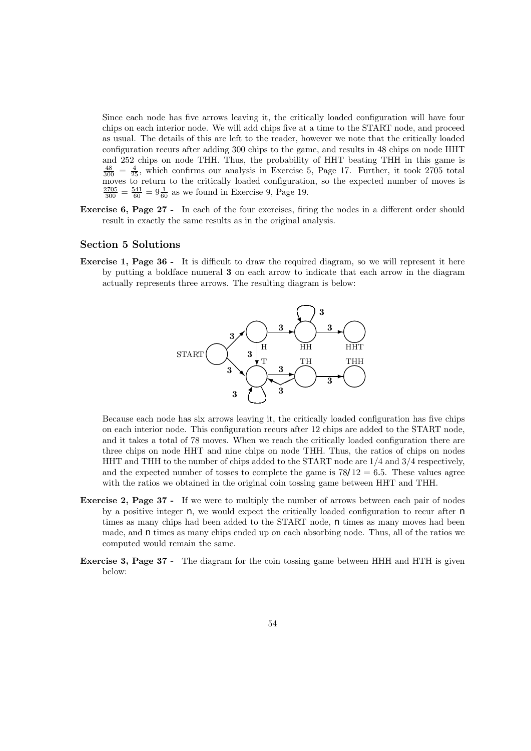Since each node has five arrows leaving it, the critically loaded configuration will have four chips on each interior node. We will add chips five at a time to the START node, and proceed as usual. The details of this are left to the reader, however we note that the critically loaded configuration recurs after adding 300 chips to the game, and results in 48 chips on node HHT and 252 chips on node THH. Thus, the probability of HHT beating THH in this game is  $\frac{48}{300} = \frac{4}{25}$ , which confirms our analysis in Exercise 5, Page 17. Further, it took 2705 total moves to return to the critically loaded configuration, so the expected number of moves is  $\frac{2705}{300} = \frac{541}{60} = 9\frac{1}{60}$  as we found in Exercise 9, Page 19.

Exercise 6, Page 27 - In each of the four exercises, firing the nodes in a different order should result in exactly the same results as in the original analysis.

### Section 5 Solutions

Exercise 1, Page 36 - It is difficult to draw the required diagram, so we will represent it here by putting a boldface numeral 3 on each arrow to indicate that each arrow in the diagram actually represents three arrows. The resulting diagram is below:



Because each node has six arrows leaving it, the critically loaded configuration has five chips on each interior node. This configuration recurs after 12 chips are added to the START node, and it takes a total of 78 moves. When we reach the critically loaded configuration there are three chips on node HHT and nine chips on node THH. Thus, the ratios of chips on nodes HHT and THH to the number of chips added to the START node are 1/4 and 3/4 respectively, and the expected number of tosses to complete the game is  $78/12 = 6.5$ . These values agree with the ratios we obtained in the original coin tossing game between HHT and THH.

- Exercise 2, Page 37 If we were to multiply the number of arrows between each pair of nodes by a positive integer  $n$ , we would expect the critically loaded configuration to recur after  $n$ times as many chips had been added to the START node,  $n$  times as many moves had been made, and  $n \times n$  times as many chips ended up on each absorbing node. Thus, all of the ratios we computed would remain the same.
- Exercise 3, Page 37 The diagram for the coin tossing game between HHH and HTH is given below: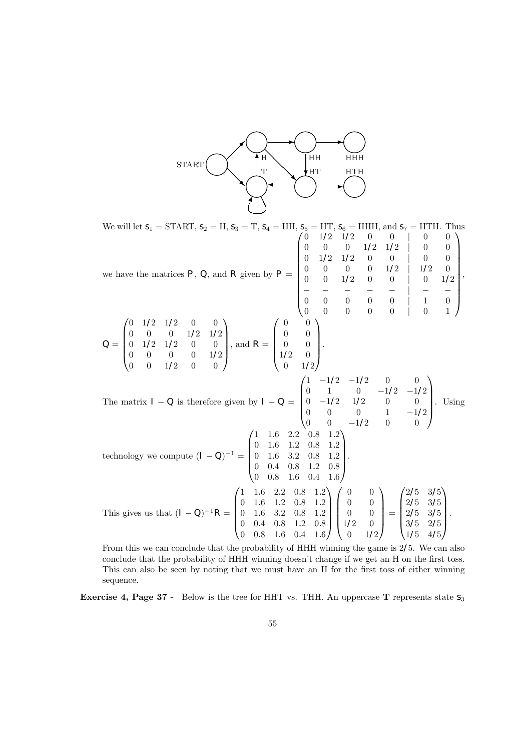

We will let  $S_1 = \text{START}, S_2 = H, S_3 = T, S_4 = HH, S_5 = HT, S_6 = HHH, \text{ and } S_7 = HTH.$  Thus we have the matrices  $P$ ,  $Q$ , and  $R$  given by  $P =$  $\begin{pmatrix} 0 & 1/2 & 1/2 & 0 & 0 \end{pmatrix}$  0 0  $0 \t 0 \t 1/2 \t 1/2 \t 0 \t 0$  $0 \t1/2 \t1/2 \t0 \t0 \t0 \t0$  $0 \t 0 \t 0 \t 1/2 \t 1/2 \t 0$ 0 0  $1/2$  0 0 | 0  $1/2$ − − − − − | − − 0 0 0 0 0 | 1 0 0 0 0 0 0 | 0 1  $\setminus$  $\overline{\phantom{a}}$ ,  $Q =$  $\sqrt{ }$  $\overline{\phantom{a}}$  $0 \t1/2 \t1/2 \t0 \t0$  $0 \t 0 \t 0 \t 1/2 \t 1/2$  $0 \t1/2 \t1/2 \t0 \t0$  $0 \t 0 \t 0 \t 1/2$  $0 \t 0 \t 1/2 \t 0 \t 0$  $\setminus$ , and  $R =$  $\sqrt{ }$  $\overline{\phantom{a}}$ 0 0 0 0 0 0  $1/2 \t 0$  $0 \t 1/2$  $\setminus$  $\left| \cdot \right|$ The matrix  $I - Q$  is therefore given by  $I - Q = \begin{bmatrix} 0 & 1 & 0 & -1/2 & -1/2 \\ 0 & -1/2 & 1/2 & 0 & 0 \\ 0 & 0 & 0 & 1 & -1/2 \end{bmatrix}$  $\begin{pmatrix} 1 & -1/2 & -1/2 & 0 & 0 \end{pmatrix}$  $0 \t -1/2 \t 1/2 \t 0 \t 0$ 0 0 0 1  $-1/2$  $\begin{bmatrix} 0 & 1 & 0 & -1/2 & -1/2 \\ 0 & -1/2 & 1/2 & 0 & 0 \\ 0 & 0 & 0 & 1 & -1/2 \\ 0 & 0 & -1/2 & 0 & 0 \end{bmatrix}$ . Using technology we compute  $(I - Q)^{-1} =$  $\sqrt{ }$  $\overline{\phantom{a}}$ 1 1.6 2.2 0.8 1.2 0 1.6 1.2 0.8 1.2 0 1.6 3.2 0.8 1.2 0 0.4 0.8 1.2 0.8 0 0.8 1.6 0.4 1.6 <sup>1</sup>  $\cdot$ This gives us that  $(I - Q)^{-1}R =$  $\sqrt{ }$  $\overline{\phantom{a}}$ 1 1.6 2.2 0.8 1.2 0 1.6 1.2 0.8 1.2 0 1.6 3.2 0.8 1.2 0 0.4 0.8 1.2 0.8 0 0.8 1.6 0.4 1.6 A.  $\overline{\phantom{a}}$  $\sqrt{ }$  $\overline{\phantom{a}}$ 0 0 0 0 0 0  $1/2 \t 0$  $0 \t 1/2$  $\setminus$  $\Bigg) =$  $\sqrt{ }$  $\overline{\phantom{a}}$ 2/5 3/5 2/5 3/5 2/5 3/5 3/5 2/5 1/5 4/5 A. .

From this we can conclude that the probability of HHH winning the game is 2/5. We can also conclude that the probability of HHH winning doesn't change if we get an H on the first toss. This can also be seen by noting that we must have an H for the first toss of either winning sequence.

**Exercise 4, Page 37 -** Below is the tree for HHT vs. THH. An uppercase **T** represents state  $s_3$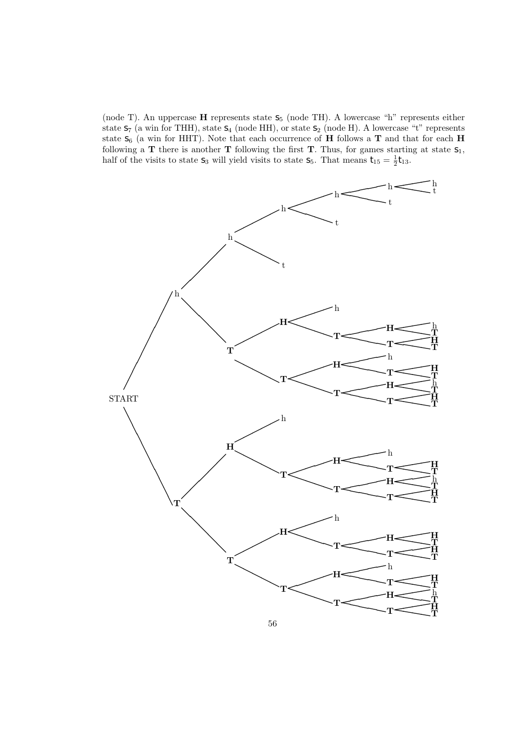(node T). An uppercase  $H$  represents state  $S_5$  (node TH). A lowercase "h" represents either state  $S_7$  (a win for THH), state  $S_4$  (node HH), or state  $S_2$  (node H). A lowercase "t" represents state  $S_6$  (a win for HHT). Note that each occurrence of **H** follows a **T** and that for each **H** following a T there is another T following the first T. Thus, for games starting at state  $S_1$ , half of the visits to state  $S_3$  will yield visits to state  $S_5$ . That means  $t_{15} = \frac{1}{2} t_{13}$ .